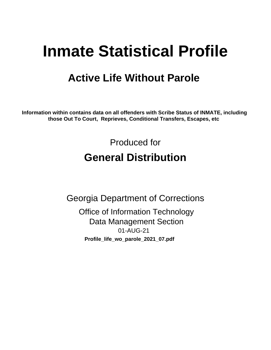# **Inmate Statistical Profile**

## **Active Life Without Parole**

Information within contains data on all offenders with Scribe Status of INMATE, including those Out To Court, Reprieves, Conditional Transfers, Escapes, etc

> Produced for **General Distribution**

**Georgia Department of Corrections Office of Information Technology Data Management Section** 01-AUG-21 Profile\_life\_wo\_parole\_2021\_07.pdf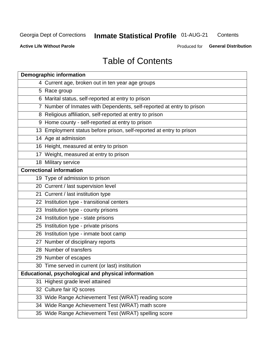#### **Inmate Statistical Profile 01-AUG-21** Contents

**Active Life Without Parole** 

Produced for General Distribution

## **Table of Contents**

| <b>Demographic information</b>                                        |
|-----------------------------------------------------------------------|
| 4 Current age, broken out in ten year age groups                      |
| 5 Race group                                                          |
| 6 Marital status, self-reported at entry to prison                    |
| 7 Number of Inmates with Dependents, self-reported at entry to prison |
| 8 Religious affiliation, self-reported at entry to prison             |
| 9 Home county - self-reported at entry to prison                      |
| 13 Employment status before prison, self-reported at entry to prison  |
| 14 Age at admission                                                   |
| 16 Height, measured at entry to prison                                |
| 17 Weight, measured at entry to prison                                |
| 18 Military service                                                   |
| <b>Correctional information</b>                                       |
| 19 Type of admission to prison                                        |
| 20 Current / last supervision level                                   |
| 21 Current / last institution type                                    |
| 22 Institution type - transitional centers                            |
| 23 Institution type - county prisons                                  |
| 24 Institution type - state prisons                                   |
| 25 Institution type - private prisons                                 |
| 26 Institution type - inmate boot camp                                |
| 27 Number of disciplinary reports                                     |
| 28 Number of transfers                                                |
| 29 Number of escapes                                                  |
| 30 Time served in current (or last) institution                       |
| Educational, psychological and physical information                   |
| 31 Highest grade level attained                                       |
| 32 Culture fair IQ scores                                             |
| 33 Wide Range Achievement Test (WRAT) reading score                   |
| 34 Wide Range Achievement Test (WRAT) math score                      |
| 35 Wide Range Achievement Test (WRAT) spelling score                  |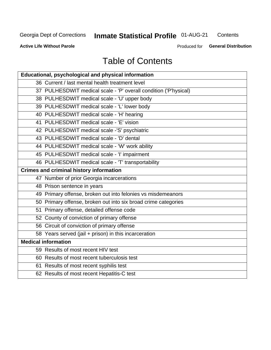## **Inmate Statistical Profile 01-AUG-21**

Contents

**Active Life Without Parole** 

Produced for General Distribution

## **Table of Contents**

| Educational, psychological and physical information              |
|------------------------------------------------------------------|
| 36 Current / last mental health treatment level                  |
| 37 PULHESDWIT medical scale - 'P' overall condition ('P'hysical) |
| 38 PULHESDWIT medical scale - 'U' upper body                     |
| 39 PULHESDWIT medical scale - 'L' lower body                     |
| 40 PULHESDWIT medical scale - 'H' hearing                        |
| 41 PULHESDWIT medical scale - 'E' vision                         |
| 42 PULHESDWIT medical scale -'S' psychiatric                     |
| 43 PULHESDWIT medical scale - 'D' dental                         |
| 44 PULHESDWIT medical scale - 'W' work ability                   |
| 45 PULHESDWIT medical scale - 'I' impairment                     |
| 46 PULHESDWIT medical scale - 'T' transportability               |
| <b>Crimes and criminal history information</b>                   |
| 47 Number of prior Georgia incarcerations                        |
| 48 Prison sentence in years                                      |
| 49 Primary offense, broken out into felonies vs misdemeanors     |
| 50 Primary offense, broken out into six broad crime categories   |
| 51 Primary offense, detailed offense code                        |
| 52 County of conviction of primary offense                       |
| 56 Circuit of conviction of primary offense                      |
| 58 Years served (jail + prison) in this incarceration            |
| <b>Medical information</b>                                       |
| 59 Results of most recent HIV test                               |
| 60 Results of most recent tuberculosis test                      |
| 61 Results of most recent syphilis test                          |
| 62 Results of most recent Hepatitis-C test                       |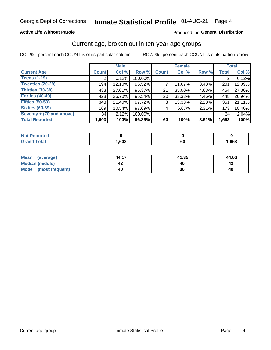### **Active Life Without Parole**

### Produced for General Distribution

## Current age, broken out in ten-year age groups

COL % - percent each COUNT is of its particular column

|                          | <b>Male</b>  |        |         | <b>Female</b> |        |       | <b>Total</b> |        |
|--------------------------|--------------|--------|---------|---------------|--------|-------|--------------|--------|
| <b>Current Age</b>       | <b>Count</b> | Col %  | Row %   | <b>Count</b>  | Col %  | Row % | <b>Total</b> | Col %  |
| <b>Teens (1-19)</b>      | ⌒            | 0.12%  | 100.00% |               |        |       | 2            | 0.12%  |
| <b>Twenties (20-29)</b>  | 194          | 12.10% | 96.52%  |               | 11.67% | 3.48% | 201          | 12.09% |
| Thirties (30-39)         | 433          | 27.01% | 95.37%  | 21            | 35.00% | 4.63% | 454          | 27.30% |
| <b>Forties (40-49)</b>   | 428          | 26.70% | 95.54%  | 20            | 33.33% | 4.46% | 448          | 26.94% |
| <b>Fifties (50-59)</b>   | 343          | 21.40% | 97.72%  | 8             | 13.33% | 2.28% | 351          | 21.11% |
| <b>Sixties (60-69)</b>   | 169          | 10.54% | 97.69%  | 4             | 6.67%  | 2.31% | 173          | 10.40% |
| Seventy + (70 and above) | 34           | 2.12%  | 100.00% |               |        |       | 34           | 2.04%  |
| <b>Total Reported</b>    | 1,603        | 100%   | 96.39%  | 60            | 100%   | 3.61% | 1,663        | 100%   |

| <b><i>Committee Service Committee Service Committee Service Service Committee Service Committee Service Committee Service Committee Service Committee Service Committee</i></b><br>тек |      |           |      |
|----------------------------------------------------------------------------------------------------------------------------------------------------------------------------------------|------|-----------|------|
| $f \wedge f \wedge f$                                                                                                                                                                  | ,603 | r r<br>νυ | ,663 |

| Mean (average)         | 44.17 | 41.35 | 44.06 |
|------------------------|-------|-------|-------|
| <b>Median (middle)</b> |       |       | 43    |
| Mode (most frequent)   | 40    |       | 40    |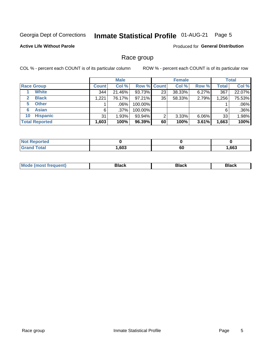#### **Inmate Statistical Profile 01-AUG-21** Page 5

### **Active Life Without Parole**

**Produced for General Distribution** 

## Race group

COL % - percent each COUNT is of its particular column

|                              | <b>Male</b>  |         |           | <b>Female</b>      |        |          | <b>Total</b> |        |
|------------------------------|--------------|---------|-----------|--------------------|--------|----------|--------------|--------|
| <b>Race Group</b>            | <b>Count</b> | Col %   |           | <b>Row % Count</b> | Col %  | Row %    | <b>Total</b> | Col %  |
| <b>White</b>                 | 344          | 21.46%  | 93.73%    | 23                 | 38.33% | 6.27%    | 367          | 22.07% |
| <b>Black</b><br>$\mathbf{2}$ | 1,221        | 76.17%  | $97.21\%$ | 35                 | 58.33% | 2.79%    | 1,256        | 75.53% |
| <b>Other</b><br>5.           |              | .06%    | 100.00%   |                    |        |          |              | .06%   |
| <b>Asian</b><br>6            | 6            | $.37\%$ | 100.00%   |                    |        |          | 6            | .36%   |
| <b>Hispanic</b><br>10        | 31           | 1.93%   | 93.94%    | ⌒                  | 3.33%  | $6.06\%$ | 33           | 1.98%  |
| <b>Total Reported</b>        | 1,603        | 100%    | 96.39%    | 60                 | 100%   | 3.61%    | 1,663        | 100%   |

| المستحدث والمسار<br>пето |      |    |      |
|--------------------------|------|----|------|
| $f \wedge f \wedge f$    | ,603 | 60 | ,663 |

| –•••• |  | M |  |  |  |
|-------|--|---|--|--|--|
|-------|--|---|--|--|--|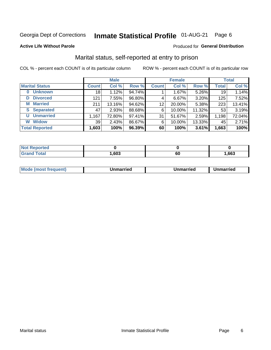#### **Inmate Statistical Profile 01-AUG-21** Page 6

### **Active Life Without Parole**

## Produced for General Distribution

## Marital status, self-reported at entry to prison

COL % - percent each COUNT is of its particular column

|                            |                 | <b>Male</b> |        |              | <b>Female</b> |        |              | <b>Total</b> |
|----------------------------|-----------------|-------------|--------|--------------|---------------|--------|--------------|--------------|
| <b>Marital Status</b>      | <b>Count</b>    | Col %       | Row %  | <b>Count</b> | Col %         | Row %  | <b>Total</b> | Col %        |
| <b>Unknown</b><br>$\bf{0}$ | 18 <sub>1</sub> | 1.12%       | 94.74% |              | 1.67%         | 5.26%  | 19           | 1.14%        |
| <b>Divorced</b><br>D       | 121             | 7.55%       | 96.80% | 4            | 6.67%         | 3.20%  | 125          | 7.52%        |
| <b>Married</b><br>М        | 211             | 13.16%      | 94.62% | 12           | 20.00%        | 5.38%  | 223          | 13.41%       |
| <b>Separated</b><br>S.     | 47              | 2.93%       | 88.68% | 6            | 10.00%        | 11.32% | 53           | 3.19%        |
| <b>Unmarried</b><br>U      | 1,167           | 72.80%      | 97.41% | 31           | 51.67%        | 2.59%  | 1,198        | 72.04%       |
| <b>Widow</b><br>W          | 39              | 2.43%       | 86.67% | 6            | 10.00%        | 13.33% | 45           | 2.71%        |
| <b>Total Reported</b>      | 1,603           | 100%        | 96.39% | 60           | 100%          | 3.61%  | 1,663        | 100%         |

| .<br>тео<br>NO |      |               |      |
|----------------|------|---------------|------|
| $\sim$ 100     | .603 | <br><b>OL</b> | .663 |

| <b>Mode</b><br><b>nost frequent)</b><br>Unmarried<br>a most | Unmarried | Unmarried |
|-------------------------------------------------------------|-----------|-----------|
|-------------------------------------------------------------|-----------|-----------|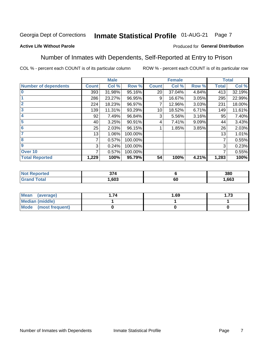#### Inmate Statistical Profile 01-AUG-21 Page 7

### **Active Life Without Parole**

### Produced for General Distribution

## Number of Inmates with Dependents, Self-Reported at Entry to Prison

COL % - percent each COUNT is of its particular column

|                             |              | <b>Male</b> |         |              | <b>Female</b> |       |              | <b>Total</b> |
|-----------------------------|--------------|-------------|---------|--------------|---------------|-------|--------------|--------------|
| <b>Number of dependents</b> | <b>Count</b> | Col %       | Row %   | <b>Count</b> | Col %         | Row % | <b>Total</b> | Col %        |
| $\bf{0}$                    | 393          | 31.98%      | 95.16%  | 20           | 37.04%        | 4.84% | 413          | 32.19%       |
|                             | 286          | 23.27%      | 96.95%  | 9            | 16.67%        | 3.05% | 295          | 22.99%       |
| $\overline{2}$              | 224          | 18.23%      | 96.97%  |              | 12.96%        | 3.03% | 231          | 18.00%       |
| 3                           | 139          | 11.31%      | 93.29%  | 10           | 18.52%        | 6.71% | 149          | 11.61%       |
| 4                           | 92           | 7.49%       | 96.84%  | 3            | 5.56%         | 3.16% | 95           | 7.40%        |
| 5                           | 40           | 3.25%       | 90.91%  | 4            | 7.41%         | 9.09% | 44           | 3.43%        |
| 6                           | 25           | 2.03%       | 96.15%  |              | 1.85%         | 3.85% | 26           | 2.03%        |
| 7                           | 13           | 1.06%       | 100.00% |              |               |       | 13           | 1.01%        |
| 8                           | 7            | 0.57%       | 100.00% |              |               |       | 7            | 0.55%        |
| $\boldsymbol{9}$            | 3            | 0.24%       | 100.00% |              |               |       | 3            | 0.23%        |
| Over <sub>10</sub>          | 7            | 0.57%       | 100.00% |              |               |       | 7            | 0.55%        |
| <b>Total Reported</b>       | 1,229        | 100%        | 95.79%  | 54           | 100%          | 4.21% | 1,283        | 100%         |

| $\sim$<br>$\sim$ |   | 380  |
|------------------|---|------|
| .603             | v | ,663 |

| <b>Mean</b><br>(average) | 1.69 | l.73 |
|--------------------------|------|------|
| <b>Median (middle)</b>   |      |      |
| Mode (most frequent)     |      |      |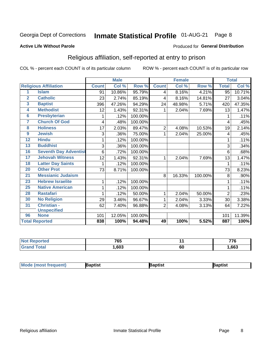#### **Inmate Statistical Profile 01-AUG-21** Page 8

### **Active Life Without Parole**

### Produced for General Distribution

## Religious affiliation, self-reported at entry to prison

COL % - percent each COUNT is of its particular column

|                |                              |              | <b>Male</b> |         |                | <b>Female</b>             |         |              | <b>Total</b> |
|----------------|------------------------------|--------------|-------------|---------|----------------|---------------------------|---------|--------------|--------------|
|                | <b>Religious Affiliation</b> | <b>Count</b> | Col %       | Row %   | <b>Count</b>   | $\overline{\text{Col}}$ % | Row %   | <b>Total</b> | Col %        |
| 1              | <b>Islam</b>                 | 91           | 10.86%      | 95.79%  | 4              | 8.16%                     | 4.21%   | 95           | 10.71%       |
| $\overline{2}$ | <b>Catholic</b>              | 23           | 2.74%       | 85.19%  | 4              | 8.16%                     | 14.81%  | 27           | 3.04%        |
| 3              | <b>Baptist</b>               | 396          | 47.26%      | 94.29%  | 24             | 48.98%                    | 5.71%   | 420          | 47.35%       |
| 4              | <b>Methodist</b>             | 12           | 1.43%       | 92.31%  | 1              | 2.04%                     | 7.69%   | 13           | 1.47%        |
| 6              | <b>Presbyterian</b>          | 1            | .12%        | 100.00% |                |                           |         | 1            | .11%         |
| 7              | <b>Church Of God</b>         | 4            | .48%        | 100.00% |                |                           |         | 4            | .45%         |
| 8              | <b>Holiness</b>              | 17           | 2.03%       | 89.47%  | $\sqrt{2}$     | 4.08%                     | 10.53%  | 19           | 2.14%        |
| 9              | <b>Jewish</b>                | 3            | .36%        | 75.00%  | 1              | 2.04%                     | 25.00%  | 4            | .45%         |
| 12             | <b>Hindu</b>                 | 1            | .12%        | 100.00% |                |                           |         |              | .11%         |
| 13             | <b>Buddhist</b>              | 3            | .36%        | 100.00% |                |                           |         | 3            | .34%         |
| 16             | <b>Seventh Day Adventist</b> | 6            | .72%        | 100.00% |                |                           |         | 6            | .68%         |
| 17             | <b>Jehovah Witness</b>       | 12           | 1.43%       | 92.31%  | 1              | 2.04%                     | 7.69%   | 13           | 1.47%        |
| 18             | <b>Latter Day Saints</b>     | 1            | .12%        | 100.00% |                |                           |         |              | .11%         |
| 20             | <b>Other Prot</b>            | 73           | 8.71%       | 100.00% |                |                           |         | 73           | 8.23%        |
| 21             | <b>Messianic Judaism</b>     |              |             |         | 8              | 16.33%                    | 100.00% | 8            | .90%         |
| 23             | <b>Hebrew Israelite</b>      | 1            | .12%        | 100.00% |                |                           |         |              | .11%         |
| 25             | <b>Native American</b>       | 1            | .12%        | 100.00% |                |                           |         |              | .11%         |
| 28             | <b>Rastafari</b>             |              | .12%        | 50.00%  | 1              | 2.04%                     | 50.00%  | 2            | .23%         |
| 30             | <b>No Religion</b>           | 29           | 3.46%       | 96.67%  | 1              | 2.04%                     | 3.33%   | 30           | 3.38%        |
| 31             | <b>Christian -</b>           | 62           | 7.40%       | 96.88%  | $\overline{2}$ | 4.08%                     | 3.13%   | 64           | 7.22%        |
|                | <b>Unspecified</b>           |              |             |         |                |                           |         |              |              |
| 96             | <b>None</b>                  | 101          | 12.05%      | 100.00% |                |                           |         | 101          | 11.39%       |
|                | <b>Total Reported</b>        | 838          | 100%        | 94.48%  | 49             | 100%                      | 5.52%   | 887          | 100%         |

| <b>Not Reported</b> | 72E<br>ັບບ |           | 770   |
|---------------------|------------|-----------|-------|
| $\tau$ otal         | ,603       | <b>60</b> | 1,663 |

| <b>Mode (most frequent)</b><br>}aptist<br>Baptist<br>Baptist |
|--------------------------------------------------------------|
|--------------------------------------------------------------|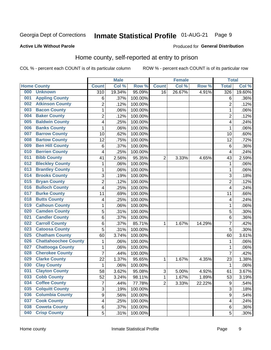#### Inmate Statistical Profile 01-AUG-21 Page 9

### **Active Life Without Parole**

### Produced for General Distribution

## Home county, self-reported at entry to prison

COL % - percent each COUNT is of its particular column

|     |                             |                         | <b>Male</b> |         |                | <b>Female</b> |        | <b>Total</b>     |        |
|-----|-----------------------------|-------------------------|-------------|---------|----------------|---------------|--------|------------------|--------|
|     | <b>Home County</b>          | <b>Count</b>            | Col %       | Row %   | <b>Count</b>   | Col %         | Row %  | <b>Total</b>     | Col %  |
| 000 | <b>Unknown</b>              | $\overline{310}$        | 19.34%      | 95.09%  | 16             | 26.67%        | 4.91%  | 326              | 19.60% |
| 001 | <b>Appling County</b>       | 6                       | .37%        | 100.00% |                |               |        | 6                | .36%   |
| 002 | <b>Atkinson County</b>      | $\overline{2}$          | .12%        | 100.00% |                |               |        | $\overline{2}$   | .12%   |
| 003 | <b>Bacon County</b>         | $\mathbf 1$             | .06%        | 100.00% |                |               |        | 1                | .06%   |
| 004 | <b>Baker County</b>         | $\overline{2}$          | .12%        | 100.00% |                |               |        | $\overline{2}$   | .12%   |
| 005 | <b>Baldwin County</b>       | 4                       | .25%        | 100.00% |                |               |        | 4                | .24%   |
| 006 | <b>Banks County</b>         | $\mathbf{1}$            | .06%        | 100.00% |                |               |        | 1                | .06%   |
| 007 | <b>Barrow County</b>        | 10                      | .62%        | 100.00% |                |               |        | 10               | .60%   |
| 008 | <b>Bartow County</b>        | 12                      | .75%        | 100.00% |                |               |        | 12               | .72%   |
| 009 | <b>Ben Hill County</b>      | 6                       | .37%        | 100.00% |                |               |        | 6                | .36%   |
| 010 | <b>Berrien County</b>       | 4                       | .25%        | 100.00% |                |               |        | $\overline{4}$   | .24%   |
| 011 | <b>Bibb County</b>          | 41                      | 2.56%       | 95.35%  | $\overline{2}$ | 3.33%         | 4.65%  | 43               | 2.59%  |
| 012 | <b>Bleckley County</b>      | $\mathbf 1$             | .06%        | 100.00% |                |               |        | 1                | .06%   |
| 013 | <b>Brantley County</b>      | $\mathbf 1$             | .06%        | 100.00% |                |               |        | 1                | .06%   |
| 014 | <b>Brooks County</b>        | 3                       | .19%        | 100.00% |                |               |        | 3                | .18%   |
| 015 | <b>Bryan County</b>         | $\overline{2}$          | .12%        | 100.00% |                |               |        | $\overline{2}$   | .12%   |
| 016 | <b>Bulloch County</b>       | 4                       | .25%        | 100.00% |                |               |        | $\overline{4}$   | .24%   |
| 017 | <b>Burke County</b>         | 11                      | .69%        | 100.00% |                |               |        | 11               | .66%   |
| 018 | <b>Butts County</b>         | 4                       | .25%        | 100.00% |                |               |        | 4                | .24%   |
| 019 | <b>Calhoun County</b>       | $\mathbf 1$             | .06%        | 100.00% |                |               |        | 1                | .06%   |
| 020 | <b>Camden County</b>        | 5                       | .31%        | 100.00% |                |               |        | 5                | .30%   |
| 021 | <b>Candler County</b>       | 6                       | .37%        | 100.00% |                |               |        | 6                | .36%   |
| 022 | <b>Carroll County</b>       | 6                       | .37%        | 85.71%  | 1              | 1.67%         | 14.29% | 7                | .42%   |
| 023 | <b>Catoosa County</b>       | 5                       | .31%        | 100.00% |                |               |        | 5                | .30%   |
| 025 | <b>Chatham County</b>       | 60                      | 3.74%       | 100.00% |                |               |        | 60               | 3.61%  |
| 026 | <b>Chattahoochee County</b> | $\mathbf 1$             | .06%        | 100.00% |                |               |        | 1                | .06%   |
| 027 | <b>Chattooga County</b>     | $\mathbf 1$             | .06%        | 100.00% |                |               |        | 1                | .06%   |
| 028 | <b>Cherokee County</b>      | $\overline{7}$          | .44%        | 100.00% |                |               |        | $\overline{7}$   | .42%   |
| 029 | <b>Clarke County</b>        | 22                      | 1.37%       | 95.65%  | 1              | 1.67%         | 4.35%  | 23               | 1.38%  |
| 030 | <b>Clay County</b>          | $\mathbf 1$             | .06%        | 100.00% |                |               |        | 1                | .06%   |
| 031 | <b>Clayton County</b>       | 58                      | 3.62%       | 95.08%  | $\sqrt{3}$     | 5.00%         | 4.92%  | 61               | 3.67%  |
| 033 | <b>Cobb County</b>          | 52                      | 3.24%       | 98.11%  | 1              | 1.67%         | 1.89%  | 53               | 3.19%  |
| 034 | <b>Coffee County</b>        | $\overline{7}$          | .44%        | 77.78%  | $\overline{2}$ | 3.33%         | 22.22% | $\boldsymbol{9}$ | .54%   |
| 035 | <b>Colquitt County</b>      | 3                       | .19%        | 100.00% |                |               |        | $\overline{3}$   | .18%   |
| 036 | <b>Columbia County</b>      | $\overline{9}$          | .56%        | 100.00% |                |               |        | 9                | .54%   |
| 037 | <b>Cook County</b>          | $\overline{\mathbf{4}}$ | .25%        | 100.00% |                |               |        | 4                | .24%   |
| 038 | <b>Coweta County</b>        | 6                       | .37%        | 100.00% |                |               |        | 6                | .36%   |
| 040 | <b>Crisp County</b>         | 5                       | .31%        | 100.00% |                |               |        | 5                | .30%   |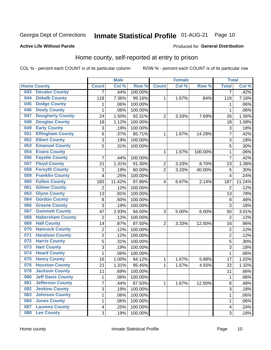## Inmate Statistical Profile 01-AUG-21 Page 10

### **Active Life Without Parole**

## Produced for General Distribution

## Home county, self-reported at entry to prison

COL % - percent each COUNT is of its particular column

|     |                          |                         | <b>Male</b> |                  |                | <b>Female</b> |         | <b>Total</b>   |        |
|-----|--------------------------|-------------------------|-------------|------------------|----------------|---------------|---------|----------------|--------|
|     | <b>Home County</b>       | <b>Count</b>            | Col %       | Row <sup>%</sup> | <b>Count</b>   | Col %         | Row %   | <b>Total</b>   | Col %  |
| 043 | <b>Decatur County</b>    | $\overline{7}$          | .44%        | 100.00%          |                |               |         | 7              | .42%   |
| 044 | <b>Dekalb County</b>     | 118                     | 7.36%       | 99.16%           | 1              | 1.67%         | .84%    | 119            | 7.16%  |
| 045 | <b>Dodge County</b>      | 1                       | .06%        | 100.00%          |                |               |         | 1              | .06%   |
| 046 | <b>Dooly County</b>      | 1                       | .06%        | 100.00%          |                |               |         | 1              | .06%   |
| 047 | <b>Dougherty County</b>  | 24                      | 1.50%       | 92.31%           | $\overline{2}$ | 3.33%         | 7.69%   | 26             | 1.56%  |
| 048 | <b>Douglas County</b>    | 18                      | 1.12%       | 100.00%          |                |               |         | 18             | 1.08%  |
| 049 | <b>Early County</b>      | 3                       | .19%        | 100.00%          |                |               |         | 3              | .18%   |
| 051 | <b>Effingham County</b>  | 6                       | .37%        | 85.71%           | 1              | 1.67%         | 14.29%  | 7              | .42%   |
| 052 | <b>Elbert County</b>     | 3                       | .19%        | 100.00%          |                |               |         | 3              | .18%   |
| 053 | <b>Emanuel County</b>    | 5                       | .31%        | 100.00%          |                |               |         | 5              | .30%   |
| 054 | <b>Evans County</b>      |                         |             |                  | 1              | 1.67%         | 100.00% | 1              | .06%   |
| 056 | <b>Fayette County</b>    | 7                       | .44%        | 100.00%          |                |               |         | 7              | .42%   |
| 057 | <b>Floyd County</b>      | 21                      | 1.31%       | 91.30%           | 2              | 3.33%         | 8.70%   | 23             | 1.38%  |
| 058 | <b>Forsyth County</b>    | 3                       | .19%        | 60.00%           | $\overline{2}$ | 3.33%         | 40.00%  | 5              | .30%   |
| 059 | <b>Franklin County</b>   | 4                       | .25%        | 100.00%          |                |               |         | 4              | .24%   |
| 060 | <b>Fulton County</b>     | 183                     | 11.42%      | 97.86%           | 4              | 6.67%         | 2.14%   | 187            | 11.24% |
| 061 | <b>Gilmer County</b>     | $\overline{2}$          | .12%        | 100.00%          |                |               |         | $\overline{2}$ | .12%   |
| 063 | <b>Glynn County</b>      | 13                      | .81%        | 100.00%          |                |               |         | 13             | .78%   |
| 064 | <b>Gordon County</b>     | 8                       | .50%        | 100.00%          |                |               |         | 8              | .48%   |
| 066 | <b>Greene County</b>     | 3                       | .19%        | 100.00%          |                |               |         | 3              | .18%   |
| 067 | <b>Gwinnett County</b>   | 47                      | 2.93%       | 94.00%           | 3              | 5.00%         | 6.00%   | 50             | 3.01%  |
| 068 | <b>Habersham County</b>  | $\overline{2}$          | .12%        | 100.00%          |                |               |         | $\overline{2}$ | .12%   |
| 069 | <b>Hall County</b>       | 14                      | .87%        | 87.50%           | $\overline{2}$ | 3.33%         | 12.50%  | 16             | .96%   |
| 070 | <b>Hancock County</b>    | $\overline{2}$          | .12%        | 100.00%          |                |               |         | $\overline{2}$ | .12%   |
| 071 | <b>Haralson County</b>   | $\overline{c}$          | .12%        | 100.00%          |                |               |         | $\overline{c}$ | .12%   |
| 072 | <b>Harris County</b>     | 5                       | .31%        | 100.00%          |                |               |         | 5              | .30%   |
| 073 | <b>Hart County</b>       | $\overline{3}$          | .19%        | 100.00%          |                |               |         | 3              | .18%   |
| 074 | <b>Heard County</b>      | 1                       | .06%        | 100.00%          |                |               |         | 1              | .06%   |
| 075 | <b>Henry County</b>      | 16                      | 1.00%       | 94.12%           | 1              | 1.67%         | 5.88%   | 17             | 1.02%  |
| 076 | <b>Houston County</b>    | 21                      | 1.31%       | 95.45%           | $\mathbf 1$    | 1.67%         | 4.55%   | 22             | 1.32%  |
| 078 | <b>Jackson County</b>    | 11                      | .69%        | 100.00%          |                |               |         | 11             | .66%   |
| 080 | <b>Jeff Davis County</b> | 1                       | .06%        | 100.00%          |                |               |         | 1              | .06%   |
| 081 | <b>Jefferson County</b>  | $\overline{7}$          | .44%        | 87.50%           | $\mathbf{1}$   | 1.67%         | 12.50%  | 8              | .48%   |
| 082 | <b>Jenkins County</b>    | 3                       | .19%        | 100.00%          |                |               |         | 3              | .18%   |
| 083 | <b>Johnson County</b>    | $\mathbf 1$             | .06%        | 100.00%          |                |               |         | 1              | .06%   |
| 084 | <b>Jones County</b>      | 1                       | .06%        | 100.00%          |                |               |         | 1              | .06%   |
| 087 | <b>Laurens County</b>    | $\overline{\mathbf{4}}$ | .25%        | 100.00%          |                |               |         | 4              | .24%   |
| 088 | <b>Lee County</b>        | 3                       | .19%        | 100.00%          |                |               |         | 3              | .18%   |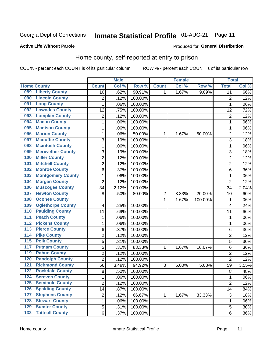#### **Inmate Statistical Profile 01-AUG-21** Page 11

Produced for General Distribution

### **Active Life Without Parole**

## Home county, self-reported at entry to prison

COL % - percent each COUNT is of its particular column

|                  |                          |                | <b>Male</b> |         |                         | <b>Female</b> |         | <b>Total</b>    |       |
|------------------|--------------------------|----------------|-------------|---------|-------------------------|---------------|---------|-----------------|-------|
|                  | <b>Home County</b>       | <b>Count</b>   | Col%        | Row %   | <b>Count</b>            | Col %         | Row %   | <b>Total</b>    | Col % |
| 089              | <b>Liberty County</b>    | 10             | .62%        | 90.91%  | 1                       | 1.67%         | 9.09%   | $\overline{11}$ | .66%  |
| 090              | <b>Lincoln County</b>    | $\overline{2}$ | .12%        | 100.00% |                         |               |         | $\overline{2}$  | .12%  |
| 091              | <b>Long County</b>       | $\mathbf 1$    | .06%        | 100.00% |                         |               |         | 1               | .06%  |
| 092              | <b>Lowndes County</b>    | 12             | .75%        | 100.00% |                         |               |         | 12              | .72%  |
| 093              | <b>Lumpkin County</b>    | $\overline{2}$ | .12%        | 100.00% |                         |               |         | $\overline{2}$  | .12%  |
| 094              | <b>Macon County</b>      | $\mathbf 1$    | .06%        | 100.00% |                         |               |         | 1               | .06%  |
| 095              | <b>Madison County</b>    | $\mathbf 1$    | .06%        | 100.00% |                         |               |         | 1               | .06%  |
| 096              | <b>Marion County</b>     | 1              | .06%        | 50.00%  | 1                       | 1.67%         | 50.00%  | $\overline{c}$  | .12%  |
| 097              | <b>Mcduffie County</b>   | 3              | .19%        | 100.00% |                         |               |         | 3               | .18%  |
| 098              | <b>Mcintosh County</b>   | $\mathbf 1$    | .06%        | 100.00% |                         |               |         | 1               | .06%  |
| 099              | <b>Meriwether County</b> | 3              | .19%        | 100.00% |                         |               |         | 3               | .18%  |
| 100              | <b>Miller County</b>     | $\overline{c}$ | .12%        | 100.00% |                         |               |         | $\overline{2}$  | .12%  |
| 101              | <b>Mitchell County</b>   | $\overline{2}$ | .12%        | 100.00% |                         |               |         | $\overline{2}$  | .12%  |
| 102              | <b>Monroe County</b>     | 6              | .37%        | 100.00% |                         |               |         | $6\phantom{1}6$ | .36%  |
| 103              | <b>Montgomery County</b> | $\mathbf 1$    | .06%        | 100.00% |                         |               |         | 1               | .06%  |
| 104              | <b>Morgan County</b>     | $\overline{2}$ | .12%        | 100.00% |                         |               |         | $\overline{2}$  | .12%  |
| 106              | <b>Muscogee County</b>   | 34             | 2.12%       | 100.00% |                         |               |         | 34              | 2.04% |
| 107              | <b>Newton County</b>     | 8              | .50%        | 80.00%  | $\overline{\mathbf{c}}$ | 3.33%         | 20.00%  | 10              | .60%  |
| 108              | <b>Oconee County</b>     |                |             |         | 1                       | 1.67%         | 100.00% | 1               | .06%  |
| 109              | <b>Oglethorpe County</b> | 4              | .25%        | 100.00% |                         |               |         | 4               | .24%  |
| 110              | <b>Paulding County</b>   | 11             | .69%        | 100.00% |                         |               |         | 11              | .66%  |
| 111              | <b>Peach County</b>      | $\mathbf 1$    | .06%        | 100.00% |                         |               |         | 1               | .06%  |
| 112              | <b>Pickens County</b>    | $\mathbf 1$    | .06%        | 100.00% |                         |               |         | 1               | .06%  |
| 113              | <b>Pierce County</b>     | 6              | .37%        | 100.00% |                         |               |         | $\,6$           | .36%  |
| 114              | <b>Pike County</b>       | $\overline{c}$ | .12%        | 100.00% |                         |               |         | $\overline{2}$  | .12%  |
| $\overline{115}$ | <b>Polk County</b>       | 5              | .31%        | 100.00% |                         |               |         | 5               | .30%  |
| 117              | <b>Putnam County</b>     | 5              | .31%        | 83.33%  | 1                       | 1.67%         | 16.67%  | 6               | .36%  |
| 119              | <b>Rabun County</b>      | $\overline{2}$ | .12%        | 100.00% |                         |               |         | $\overline{2}$  | .12%  |
| 120              | <b>Randolph County</b>   | $\overline{2}$ | .12%        | 100.00% |                         |               |         | $\overline{2}$  | .12%  |
| 121              | <b>Richmond County</b>   | 56             | 3.49%       | 94.92%  | 3                       | 5.00%         | 5.08%   | 59              | 3.55% |
| 122              | <b>Rockdale County</b>   | 8              | .50%        | 100.00% |                         |               |         | 8               | .48%  |
| 124              | <b>Screven County</b>    | 1              | .06%        | 100.00% |                         |               |         | 1               | .06%  |
| 125              | <b>Seminole County</b>   | $\overline{2}$ | .12%        | 100.00% |                         |               |         | $\overline{2}$  | .12%  |
| 126              | <b>Spalding County</b>   | 14             | .87%        | 100.00% |                         |               |         | 14              | .84%  |
| 127              | <b>Stephens County</b>   | $\overline{c}$ | .12%        | 66.67%  | 1                       | 1.67%         | 33.33%  | $\sqrt{3}$      | .18%  |
| 128              | <b>Stewart County</b>    | $\mathbf{1}$   | .06%        | 100.00% |                         |               |         | 1               | .06%  |
| 129              | <b>Sumter County</b>     | 5              | .31%        | 100.00% |                         |               |         | 5               | .30%  |
| 132              | <b>Tattnall County</b>   | 6              | .37%        | 100.00% |                         |               |         | 6               | .36%  |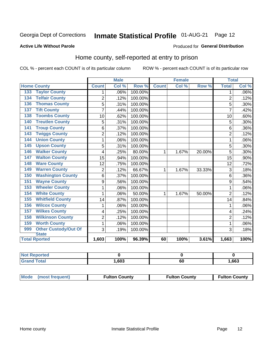## Inmate Statistical Profile 01-AUG-21 Page 12

### **Active Life Without Parole**

### Produced for General Distribution

## Home county, self-reported at entry to prison

COL % - percent each COUNT is of its particular column

|                                    |                | <b>Male</b> |         |              | <b>Female</b> |        | <b>Total</b>   |         |
|------------------------------------|----------------|-------------|---------|--------------|---------------|--------|----------------|---------|
| <b>Home County</b>                 | <b>Count</b>   | Col %       | Row %   | <b>Count</b> | Col %         | Row %  | <b>Total</b>   | Col %   |
| <b>Taylor County</b><br>133        | 1              | .06%        | 100.00% |              |               |        | 1              | $.06\%$ |
| <b>Telfair County</b><br>134       | $\overline{2}$ | .12%        | 100.00% |              |               |        | $\overline{2}$ | .12%    |
| <b>Thomas County</b><br>136        | 5              | .31%        | 100.00% |              |               |        | 5              | .30%    |
| <b>Tift County</b><br>137          | $\overline{7}$ | .44%        | 100.00% |              |               |        | 7              | .42%    |
| <b>Toombs County</b><br>138        | 10             | .62%        | 100.00% |              |               |        | 10             | .60%    |
| <b>Treutlen County</b><br>140      | 5              | .31%        | 100.00% |              |               |        | 5              | .30%    |
| <b>Troup County</b><br>141         | 6              | .37%        | 100.00% |              |               |        | 6              | .36%    |
| <b>Twiggs County</b><br>143        | 2              | .12%        | 100.00% |              |               |        | $\overline{2}$ | .12%    |
| <b>Union County</b><br>144         | 1              | .06%        | 100.00% |              |               |        | 1              | .06%    |
| <b>Upson County</b><br>145         | 5              | .31%        | 100.00% |              |               |        | 5              | .30%    |
| <b>Walker County</b><br>146        | 4              | .25%        | 80.00%  | 1            | 1.67%         | 20.00% | 5              | .30%    |
| <b>Walton County</b><br>147        | 15             | .94%        | 100.00% |              |               |        | 15             | .90%    |
| <b>Ware County</b><br>148          | 12             | .75%        | 100.00% |              |               |        | 12             | .72%    |
| <b>Warren County</b><br>149        | 2              | .12%        | 66.67%  | 1            | 1.67%         | 33.33% | $\overline{3}$ | .18%    |
| <b>Washington County</b><br>150    | 6              | .37%        | 100.00% |              |               |        | 6              | .36%    |
| <b>Wayne County</b><br>151         | 9              | .56%        | 100.00% |              |               |        | 9              | .54%    |
| <b>Wheeler County</b><br>153       | 1              | .06%        | 100.00% |              |               |        | 1              | .06%    |
| <b>White County</b><br>154         | 1              | .06%        | 50.00%  | 1            | 1.67%         | 50.00% | $\overline{2}$ | .12%    |
| <b>Whitfield County</b><br>155     | 14             | .87%        | 100.00% |              |               |        | 14             | .84%    |
| <b>Wilcox County</b><br>156        | 1              | .06%        | 100.00% |              |               |        | 1              | .06%    |
| <b>Wilkes County</b><br>157        | 4              | .25%        | 100.00% |              |               |        | 4              | .24%    |
| <b>Wilkinson County</b><br>158     | $\overline{2}$ | .12%        | 100.00% |              |               |        | $\overline{2}$ | .12%    |
| <b>Worth County</b><br>159         | $\mathbf{1}$   | .06%        | 100.00% |              |               |        | 1              | .06%    |
| <b>Other Custody/Out Of</b><br>999 | 3              | .19%        | 100.00% |              |               |        | 3              | .18%    |
| <b>State</b>                       |                |             |         |              |               |        |                |         |
| <b>Total Rported</b>               | 1,603          | 100%        | 96.39%  | 60           | 100%          | 3.61%  | 1,663          | 100%    |

| <b>rted</b> |      |           |      |
|-------------|------|-----------|------|
| `otal       | ,603 | r r<br>υυ | ,663 |

| Mode (most frequent) | <b>Fulton County</b> | <b>Fulton County</b> | <b>Fulton County</b> |
|----------------------|----------------------|----------------------|----------------------|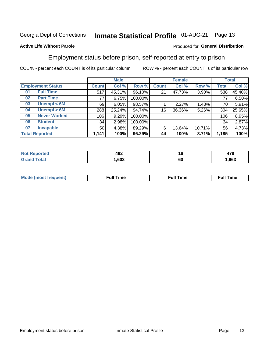#### **Inmate Statistical Profile 01-AUG-21** Page 13

### **Active Life Without Parole**

### Produced for General Distribution

## Employment status before prison, self-reported at entry to prison

COL % - percent each COUNT is of its particular column

|                          |                       | <b>Male</b>  |        |         | <b>Female</b> |        |        | <b>Total</b> |        |
|--------------------------|-----------------------|--------------|--------|---------|---------------|--------|--------|--------------|--------|
| <b>Employment Status</b> |                       | <b>Count</b> | Col %  | Row %   | <b>Count</b>  | Col %  | Row %  | Total        | Col %  |
| 01                       | <b>Full Time</b>      | 517          | 45.31% | 96.10%  | 21            | 47.73% | 3.90%  | 538          | 45.40% |
| 02                       | <b>Part Time</b>      | 77           | 6.75%  | 100.00% |               |        |        | 77           | 6.50%  |
| 03                       | Unempl $<$ 6M         | 69           | 6.05%  | 98.57%  |               | 2.27%  | 1.43%  | 70           | 5.91%  |
| 04                       | Unempl > 6M           | 288          | 25.24% | 94.74%  | 16            | 36.36% | 5.26%  | 304          | 25.65% |
| 05                       | <b>Never Worked</b>   | 106          | 9.29%  | 100.00% |               |        |        | 106          | 8.95%  |
| 06                       | <b>Student</b>        | 34           | 2.98%  | 100.00% |               |        |        | 34           | 2.87%  |
| 07                       | <b>Incapable</b>      | 50           | 4.38%  | 89.29%  | 6             | 13.64% | 10.71% | 56           | 4.73%  |
|                          | <b>Total Reported</b> | 1,141        | 100%   | 96.29%  | 44            | 100%   | 3.71%  | 1,185        | 100%   |

|                        | 462<br>___ | 1 Q     | 470<br> |
|------------------------|------------|---------|---------|
| $f \wedge f \wedge f'$ | .603       | ~<br>ρŋ | .663    |

| Mc | ∴ull | ----<br>ıme<br>w |
|----|------|------------------|
|    |      |                  |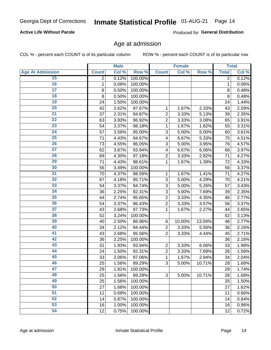## **Active Life Without Parole**

Produced for General Distribution

## Age at admission

COL % - percent each COUNT is of its particular column

|                         |                | <b>Male</b> |         |                           | <b>Female</b> |        |              | <b>Total</b> |
|-------------------------|----------------|-------------|---------|---------------------------|---------------|--------|--------------|--------------|
| <b>Age At Admission</b> | <b>Count</b>   | Col %       | Row %   | <b>Count</b>              | Col %         | Row %  | <b>Total</b> | Col %        |
| 15                      | $\overline{2}$ | 0.12%       | 100.00% |                           |               |        | 2            | 0.12%        |
| 16                      | 1              | 0.06%       | 100.00% |                           |               |        | $\mathbf{1}$ | 0.06%        |
| $\overline{17}$         | 8              | 0.50%       | 100.00% |                           |               |        | 8            | 0.48%        |
| 18                      | 8              | 0.50%       | 100.00% |                           |               |        | 8            | 0.48%        |
| 19                      | 24             | 1.50%       | 100.00% |                           |               |        | 24           | 1.44%        |
| $\overline{20}$         | 42             | 2.62%       | 97.67%  | 1                         | 1.67%         | 2.33%  | 43           | 2.59%        |
| 21                      | 37             | 2.31%       | 94.87%  | $\overline{c}$            | 3.33%         | 5.13%  | 39           | 2.35%        |
| $\overline{22}$         | 63             | 3.93%       | 96.92%  | 2                         | 3.33%         | 3.08%  | 65           | 3.91%        |
| $\overline{23}$         | 54             | 3.37%       | 98.18%  | 1                         | 1.67%         | 1.82%  | 55           | 3.31%        |
| 24                      | 57             | 3.56%       | 95.00%  | 3                         | 5.00%         | 5.00%  | 60           | 3.61%        |
| $\overline{25}$         | 71             | 4.43%       | 94.67%  | $\overline{\mathbf{4}}$   | 6.67%         | 5.33%  | 75           | 4.51%        |
| 26                      | 73             | 4.55%       | 96.05%  | 3                         | 5.00%         | 3.95%  | 76           | 4.57%        |
| $\overline{27}$         | 62             | 3.87%       | 93.94%  | $\overline{\mathbf{4}}$   | 6.67%         | 6.06%  | 66           | 3.97%        |
| 28                      | 69             | 4.30%       | 97.18%  | $\overline{2}$            | 3.33%         | 2.82%  | 71           | 4.27%        |
| 29                      | 71             | 4.43%       | 98.61%  | 1                         | 1.67%         | 1.39%  | 72           | 4.33%        |
| 30                      | 56             | 3.49%       | 100.00% |                           |               |        | 56           | 3.37%        |
| 31                      | 70             | 4.37%       | 98.59%  | 1                         | 1.67%         | 1.41%  | 71           | 4.27%        |
| $\overline{32}$         | 67             | 4.18%       | 95.71%  | 3                         | 5.00%         | 4.29%  | 70           | 4.21%        |
| 33                      | 54             | 3.37%       | 94.74%  | 3                         | 5.00%         | 5.26%  | 57           | 3.43%        |
| 34                      | 36             | 2.25%       | 92.31%  | 3                         | 5.00%         | 7.69%  | 39           | 2.35%        |
| 35                      | 44             | 2.74%       | 95.65%  | $\overline{2}$            | 3.33%         | 4.35%  | 46           | 2.77%        |
| 36                      | 54             | 3.37%       | 96.43%  | $\overline{c}$            | 3.33%         | 3.57%  | 56           | 3.37%        |
| $\overline{37}$         | 43             | 2.68%       | 97.73%  | 1                         | 1.67%         | 2.27%  | 44           | 2.65%        |
| 38                      | 52             | 3.24%       | 100.00% |                           |               |        | 52           | 3.13%        |
| 39                      | 40             | 2.50%       | 86.96%  | 6                         | 10.00%        | 13.04% | 46           | 2.77%        |
| 40                      | 34             | 2.12%       | 94.44%  | $\overline{c}$            | 3.33%         | 5.56%  | 36           | 2.16%        |
| 41                      | 43             | 2.68%       | 95.56%  | $\overline{2}$            | 3.33%         | 4.44%  | 45           | 2.71%        |
| 42                      | 36             | 2.25%       | 100.00% |                           |               |        | 36           | 2.16%        |
| 43                      | 31             | 1.93%       | 93.94%  | $\overline{c}$            | 3.33%         | 6.06%  | 33           | 1.98%        |
| 44                      | 24             | 1.50%       | 92.31%  | $\overline{c}$            | 3.33%         | 7.69%  | 26           | 1.56%        |
| 45                      | 33             | 2.06%       | 97.06%  | 1                         | 1.67%         | 2.94%  | 34           | 2.04%        |
| 46                      | 25             | 1.56%       | 89.29%  | $\ensuremath{\mathsf{3}}$ | 5.00%         | 10.71% | 28           | 1.68%        |
| 47                      | 29             | 1.81%       | 100.00% |                           |               |        | 29           | 1.74%        |
| 48                      | 25             | 1.56%       | 89.29%  | 3                         | 5.00%         | 10.71% | 28           | 1.68%        |
| 49                      | 25             | 1.56%       | 100.00% |                           |               |        | 25           | 1.50%        |
| 50                      | 27             | 1.68%       | 100.00% |                           |               |        | 27           | 1.62%        |
| $\overline{51}$         | 11             | 0.69%       | 100.00% |                           |               |        | 11           | 0.66%        |
| 52                      | 14             | 0.87%       | 100.00% |                           |               |        | 14           | 0.84%        |
| 53                      | 16             | 1.00%       | 100.00% |                           |               |        | 16           | 0.96%        |
| 54                      | 12             | 0.75%       | 100.00% |                           |               |        | 12           | 0.72%        |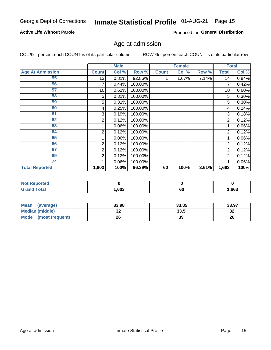## **Active Life Without Parole**

Produced for General Distribution

## Age at admission

COL % - percent each COUNT is of its particular column

|                         |              | <b>Male</b> |         |              | <b>Female</b> |       |                | <b>Total</b> |
|-------------------------|--------------|-------------|---------|--------------|---------------|-------|----------------|--------------|
| <b>Age At Admission</b> | <b>Count</b> | Col %       | Row %   | <b>Count</b> | Col %         | Row % | <b>Total</b>   | Col %        |
| 55                      | 13           | 0.81%       | 92.86%  |              | 1.67%         | 7.14% | 14             | 0.84%        |
| 56                      | 7            | 0.44%       | 100.00% |              |               |       | 7              | 0.42%        |
| 57                      | 10           | 0.62%       | 100.00% |              |               |       | 10             | 0.60%        |
| 58                      | 5            | 0.31%       | 100.00% |              |               |       | 5              | 0.30%        |
| 59                      | 5            | 0.31%       | 100.00% |              |               |       | 5              | 0.30%        |
| 60                      | 4            | 0.25%       | 100.00% |              |               |       | 4              | 0.24%        |
| 61                      | 3            | 0.19%       | 100.00% |              |               |       | 3              | 0.18%        |
| 62                      | 2            | 0.12%       | 100.00% |              |               |       | 2              | 0.12%        |
| 63                      |              | 0.06%       | 100.00% |              |               |       |                | 0.06%        |
| 64                      | 2            | 0.12%       | 100.00% |              |               |       | 2              | 0.12%        |
| 65                      |              | 0.06%       | 100.00% |              |               |       |                | 0.06%        |
| 66                      | 2            | 0.12%       | 100.00% |              |               |       | $\overline{2}$ | 0.12%        |
| 67                      | 2            | 0.12%       | 100.00% |              |               |       | 2              | 0.12%        |
| 69                      | 2            | 0.12%       | 100.00% |              |               |       | 2              | 0.12%        |
| 74                      |              | 0.06%       | 100.00% |              |               |       |                | 0.06%        |
| <b>Total Reported</b>   | 1,603        | 100%        | 96.39%  | 60           | 100%          | 3.61% | 1,663          | 100%         |

| <b>Not Reported</b> |      |    |       |
|---------------------|------|----|-------|
| <b>Total</b>        | ,603 | 60 | 1,663 |

| <b>Mean</b><br>(average) | 33.98   | 33.85 | 33.97   |
|--------------------------|---------|-------|---------|
| <b>Median (middle)</b>   | ົ<br>JZ | 33.5  | ົ<br>∠ت |
| Mode<br>(most frequent)  | 26      | 39    | 26      |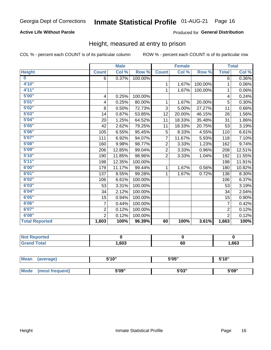## **Active Life Without Parole**

### Produced for General Distribution

## Height, measured at entry to prison

COL % - percent each COUNT is of its particular column

|                         |                | <b>Male</b> |         |                | <b>Female</b> |         |                | <b>Total</b> |
|-------------------------|----------------|-------------|---------|----------------|---------------|---------|----------------|--------------|
| <b>Height</b>           | <b>Count</b>   | Col %       | Row %   | <b>Count</b>   | Col %         | Row %   | <b>Total</b>   | Col %        |
| $\overline{\mathbf{0}}$ | 6              | 0.37%       | 100.00% |                |               |         | 6              | $0.36\%$     |
| 4'10"                   |                |             |         | $\mathbf{1}$   | 1.67%         | 100.00% | 1              | 0.06%        |
| 4'11''                  |                |             |         | $\mathbf{1}$   | 1.67%         | 100.00% | 1              | 0.06%        |
| 5'00''                  | 4              | 0.25%       | 100.00% |                |               |         | 4              | 0.24%        |
| 5'01"                   | 4              | 0.25%       | 80.00%  | $\mathbf 1$    | 1.67%         | 20.00%  | 5              | 0.30%        |
| 5'02"                   | 8              | 0.50%       | 72.73%  | 3              | 5.00%         | 27.27%  | 11             | 0.66%        |
| 5'03''                  | 14             | 0.87%       | 53.85%  | 12             | 20.00%        | 46.15%  | 26             | 1.56%        |
| 5'04"                   | 20             | 1.25%       | 64.52%  | 11             | 18.33%        | 35.48%  | 31             | 1.86%        |
| 5'05"                   | 42             | 2.62%       | 79.25%  | 11             | 18.33%        | 20.75%  | 53             | 3.19%        |
| 5'06''                  | 105            | 6.55%       | 95.45%  | 5              | 8.33%         | 4.55%   | 110            | 6.61%        |
| 5'07''                  | 111            | 6.92%       | 94.07%  | $\overline{7}$ | 11.67%        | 5.93%   | 118            | 7.10%        |
| 5'08''                  | 160            | 9.98%       | 98.77%  | $\overline{2}$ | 3.33%         | 1.23%   | 162            | 9.74%        |
| 5'09''                  | 206            | 12.85%      | 99.04%  | $\overline{2}$ | 3.33%         | 0.96%   | 208            | 12.51%       |
| 5'10''                  | 190            | 11.85%      | 98.96%  | $\overline{2}$ | 3.33%         | 1.04%   | 192            | 11.55%       |
| 5'11''                  | 198            | 12.35%      | 100.00% |                |               |         | 198            | 11.91%       |
| 6'00''                  | 179            | 11.17%      | 99.44%  | $\mathbf{1}$   | 1.67%         | 0.56%   | 180            | 10.82%       |
| 6'01''                  | 137            | 8.55%       | 99.28%  | 1              | 1.67%         | 0.72%   | 138            | 8.30%        |
| 6'02"                   | 106            | 6.61%       | 100.00% |                |               |         | 106            | 6.37%        |
| 6'03''                  | 53             | 3.31%       | 100.00% |                |               |         | 53             | 3.19%        |
| 6'04"                   | 34             | 2.12%       | 100.00% |                |               |         | 34             | 2.04%        |
| 6'05"                   | 15             | 0.94%       | 100.00% |                |               |         | 15             | 0.90%        |
| 6'06"                   | $\overline{7}$ | 0.44%       | 100.00% |                |               |         | $\overline{7}$ | 0.42%        |
| 6'07''                  | $\overline{2}$ | 0.12%       | 100.00% |                |               |         | $\overline{2}$ | 0.12%        |
| 6'08''                  | $\overline{2}$ | 0.12%       | 100.00% |                |               |         | $\overline{2}$ | 0.12%        |
| <b>Total Reported</b>   | 1,603          | 100%        | 96.39%  | 60             | 100%          | 3.61%   | 1,663          | 100%         |

| rtea<br>, , ,<br>.               |      |    |      |
|----------------------------------|------|----|------|
| $f$ $f \circ f \circ f$<br>_____ | ,603 | 60 | ,663 |

| <b>Mean</b> | (average)       | 5'10" | 5'05"                | 5'10"<br>ັ |  |
|-------------|-----------------|-------|----------------------|------------|--|
|             |                 |       |                      |            |  |
| <b>Mode</b> | (most frequent) | 5'09" | <b>E'OO"</b><br>ว บง | 5'09"      |  |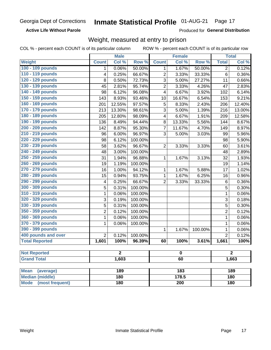### **Active Life Without Parole**

Produced for General Distribution

## Weight, measured at entry to prison

COL % - percent each COUNT is of its particular column

|                                |                         | <b>Male</b> |                  |                         | <b>Female</b> |         |                | <b>Total</b> |  |
|--------------------------------|-------------------------|-------------|------------------|-------------------------|---------------|---------|----------------|--------------|--|
| Weight                         | <b>Count</b>            | Col %       | Row <sup>%</sup> | <b>Count</b>            | Col %         | Row %   | <b>Total</b>   | Col %        |  |
| 100 - 109 pounds               | 1                       | 0.06%       | 50.00%           | 1                       | 1.67%         | 50.00%  | 2              | 0.12%        |  |
| 110 - 119 pounds               | 4                       | 0.25%       | 66.67%           | $\overline{2}$          | 3.33%         | 33.33%  | 6              | 0.36%        |  |
| 120 - 129 pounds               | 8                       | 0.50%       | 72.73%           | 3                       | 5.00%         | 27.27%  | 11             | 0.66%        |  |
| 130 - 139 pounds               | 45                      | 2.81%       | 95.74%           | $\overline{2}$          | 3.33%         | 4.26%   | 47             | 2.83%        |  |
| 140 - 149 pounds               | 98                      | 6.12%       | 96.08%           | 4                       | 6.67%         | 3.92%   | 102            | 6.14%        |  |
| 150 - 159 pounds               | 143                     | 8.93%       | 93.46%           | 10                      | 16.67%        | 6.54%   | 153            | 9.21%        |  |
| 160 - 169 pounds               | 201                     | 12.55%      | 97.57%           | 5                       | 8.33%         | 2.43%   | 206            | 12.40%       |  |
| 170 - 179 pounds               | 213                     | 13.30%      | 98.61%           | 3                       | 5.00%         | 1.39%   | 216            | 13.00%       |  |
| 180 - 189 pounds               | 205                     | 12.80%      | 98.09%           | $\overline{\mathbf{4}}$ | 6.67%         | 1.91%   | 209            | 12.58%       |  |
| 190 - 199 pounds               | 136                     | 8.49%       | 94.44%           | 8                       | 13.33%        | 5.56%   | 144            | 8.67%        |  |
| 200 - 209 pounds               | 142                     | 8.87%       | 95.30%           | $\overline{7}$          | 11.67%        | 4.70%   | 149            | 8.97%        |  |
| 210 - 219 pounds               | 96                      | 6.00%       | 96.97%           | 3                       | 5.00%         | 3.03%   | 99             | 5.96%        |  |
| 220 - 229 pounds               | 98                      | 6.12%       | 100.00%          |                         |               |         | 98             | 5.90%        |  |
| 230 - 239 pounds               | 58                      | 3.62%       | 96.67%           | $\overline{2}$          | 3.33%         | 3.33%   | 60             | 3.61%        |  |
| 240 - 249 pounds               | 48                      | 3.00%       | 100.00%          |                         |               |         | 48             | 2.89%        |  |
| 250 - 259 pounds               | 31                      | 1.94%       | 96.88%           | 1                       | 1.67%         | 3.13%   | 32             | 1.93%        |  |
| 260 - 269 pounds               | 19                      | 1.19%       | 100.00%          |                         |               |         | 19             | 1.14%        |  |
| 270 - 279 pounds               | 16                      | 1.00%       | 94.12%           | 1                       | 1.67%         | 5.88%   | 17             | 1.02%        |  |
| 280 - 289 pounds               | 15                      | 0.94%       | 93.75%           | 1                       | 1.67%         | 6.25%   | 16             | 0.96%        |  |
| 290 - 299 pounds               | $\overline{\mathbf{4}}$ | 0.25%       | 66.67%           | $\overline{2}$          | 3.33%         | 33.33%  | 6              | 0.36%        |  |
| 300 - 309 pounds               | 5                       | 0.31%       | 100.00%          |                         |               |         | 5              | 0.30%        |  |
| 310 - 319 pounds               | 1                       | 0.06%       | 100.00%          |                         |               |         | $\mathbf{1}$   | 0.06%        |  |
| 320 - 329 pounds               | 3                       | 0.19%       | 100.00%          |                         |               |         | 3              | 0.18%        |  |
| 330 - 339 pounds               | 5                       | 0.31%       | 100.00%          |                         |               |         | 5              | 0.30%        |  |
| 350 - 359 pounds               | $\overline{2}$          | 0.12%       | 100.00%          |                         |               |         | $\overline{2}$ | 0.12%        |  |
| 360 - 369 pounds               | 1                       | 0.06%       | 100.00%          |                         |               |         | $\mathbf 1$    | 0.06%        |  |
| 370 - 379 pounds               | 1                       | 0.06%       | 100.00%          |                         |               |         | $\mathbf 1$    | 0.06%        |  |
| 390 - 399 pounds               |                         |             |                  | 1                       | 1.67%         | 100.00% | 1              | 0.06%        |  |
| 400 pounds and over            | $\overline{2}$          | 0.12%       | 100.00%          |                         |               |         | $\overline{2}$ | 0.12%        |  |
| <b>Total Reported</b>          | 1,601                   | 100%        | 96.39%           | 60                      | 100%          | 3.61%   | 1,661          | 100%         |  |
|                                |                         |             |                  |                         |               |         |                |              |  |
| <b>Not Reported</b>            |                         | 2           |                  |                         | o             |         |                | 2            |  |
| <b>Grand Total</b>             | 1,603                   |             | 60               |                         |               |         | 1,663          |              |  |
|                                |                         |             |                  |                         |               |         |                |              |  |
| <b>Mean</b><br>(average)       |                         | 189         |                  |                         | 183           |         |                | 189          |  |
| <b>Median (middle)</b>         |                         | 180         |                  |                         | 178.5         |         |                | 180          |  |
| <b>Mode</b><br>(most frequent) |                         | 180         |                  | $\overline{200}$        |               |         | <b>180</b>     |              |  |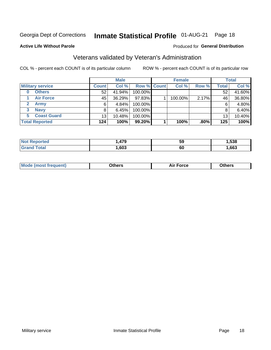## Inmate Statistical Profile 01-AUG-21 Page 18

### **Active Life Without Parole**

### Produced for General Distribution

## Veterans validated by Veteran's Administration

COL % - percent each COUNT is of its particular column

|                          |                 | <b>Male</b> |             | <b>Female</b> |         |              | <b>Total</b> |
|--------------------------|-----------------|-------------|-------------|---------------|---------|--------------|--------------|
| <b>Military service</b>  | <b>Count</b>    | Col %       | Row % Count | Col %         | Row %   | <b>Total</b> | Col %        |
| <b>Others</b><br>0       | 52              | 41.94%      | 100.00%     |               |         | 52           | 41.60%       |
| <b>Air Force</b>         | 45              | 36.29%      | 97.83%      | 100.00%       | 2.17%   | 46           | 36.80%       |
| <b>Army</b>              | 6               | 4.84%       | 100.00%     |               |         | 6            | 4.80%        |
| <b>Navy</b><br>3         |                 | 6.45%       | 100.00%     |               |         | 8            | 6.40%        |
| <b>Coast Guard</b><br>5. | 13 <sub>1</sub> | 10.48%      | 100.00%     |               |         | 13           | 10.40%       |
| <b>Total Reported</b>    | 124             | 100%        | 99.20%      | 100%          | $.80\%$ | 125          | 100%         |

| rteo        | 170  | 59 | .538 |
|-------------|------|----|------|
| $C = 4 - 7$ | ,603 | οu | ,663 |

| ____<br>____ |
|--------------|
|--------------|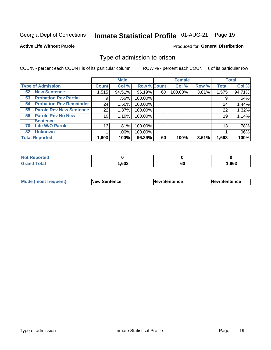#### **Inmate Statistical Profile 01-AUG-21** Page 19

### **Active Life Without Parole**

### **Produced for General Distribution**

## Type of admission to prison

COL % - percent each COUNT is of its particular column

|                                      |              | <b>Male</b> |                    |    | <b>Female</b> |       |              | <b>Total</b> |
|--------------------------------------|--------------|-------------|--------------------|----|---------------|-------|--------------|--------------|
| <b>Type of Admission</b>             | <b>Count</b> | Col %       | <b>Row % Count</b> |    | Col %         | Row % | <b>Total</b> | Col %        |
| <b>New Sentence</b><br>52            | 1,515        | 94.51%      | 96.19%             | 60 | 100.00%       | 3.81% | 1,575        | 94.71%       |
| <b>Probation Rev Partial</b><br>53   | 9            | .56%        | 100.00%            |    |               |       | 9            | .54%         |
| <b>Probation Rev Remainder</b><br>54 | 24           | 1.50%       | 100.00%            |    |               |       | 24           | 1.44%        |
| <b>Parole Rev New Sentence</b><br>55 | 22           | 1.37%       | 100.00%            |    |               |       | 22           | 1.32%        |
| <b>Parole Rev No New</b><br>56       | 19           | 1.19%       | 100.00%            |    |               |       | 19           | 1.14%        |
| <b>Sentence</b>                      |              |             |                    |    |               |       |              |              |
| <b>Life W/O Parole</b><br>70         | 13           | .81%        | 100.00%            |    |               |       | 13           | .78%         |
| <b>Unknown</b><br>82                 |              | .06%        | 100.00%            |    |               |       |              | .06%         |
| <b>Total Reported</b>                | 1,603        | 100%        | 96.39%             | 60 | 100%          | 3.61% | 1,663        | 100%         |

| <b>Not Reported</b> |      |         |      |
|---------------------|------|---------|------|
| <b>Grand Total</b>  | ,603 | ~<br>οu | ,663 |

| <b>Mode (most frequent)</b> | <b>New Sentence</b> | <b>New Sentence</b> | <b>New Sentence</b> |
|-----------------------------|---------------------|---------------------|---------------------|
|                             |                     |                     |                     |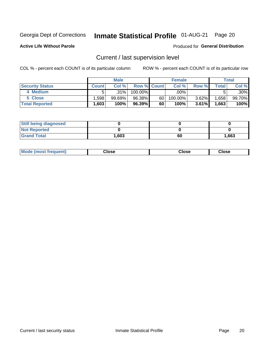## Inmate Statistical Profile 01-AUG-21 Page 20

**Active Life Without Parole** 

### Produced for General Distribution

## Current / last supervision level

COL % - percent each COUNT is of its particular column

|                        |              | <b>Male</b> |                    |    | <b>Female</b> |          |        | Total  |
|------------------------|--------------|-------------|--------------------|----|---------------|----------|--------|--------|
| <b>Security Status</b> | <b>Count</b> | Col%        | <b>Row % Count</b> |    | Col %         | Row %    | Total  | Col %  |
| 4 Medium               |              | .31%        | 100.00%            |    | .00%          |          |        | .30%   |
| 5 Close                | .598         | $99.69\%$   | 96.38%             | 60 | 100.00%       | 3.62%    | .658   | 99.70% |
| <b>Total Reported</b>  | .603         | 100%        | 96.39%             | 60 | 100%          | $3.61\%$ | 563. ا | 100%   |

| <b>Still being diagnosed</b> |       |    |       |
|------------------------------|-------|----|-------|
| <b>Not Reported</b>          |       |    |       |
| <b>Grand Total</b>           | 1,603 | 60 | 1,663 |

| <b>AhoM</b><br>rreauent) | Close | Close | Close |
|--------------------------|-------|-------|-------|
|                          |       |       |       |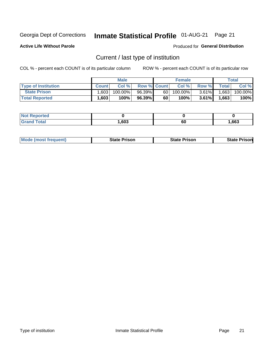## Inmate Statistical Profile 01-AUG-21 Page 21

**Active Life Without Parole** 

Produced for General Distribution

## Current / last type of institution

COL % - percent each COUNT is of its particular column

|                            |              | <b>Male</b> |                    |      | <b>Female</b> |          |              | Total   |
|----------------------------|--------------|-------------|--------------------|------|---------------|----------|--------------|---------|
| <b>Type of Institution</b> | <b>Count</b> | Col %       | <b>Row % Count</b> |      | Col %         | Row %    | <b>Total</b> | Col %   |
| <b>State Prison</b>        | 1,603        | 100.00%     | 96.39% 1           | 60 l | $100.00\%$    | $3.61\%$ | 1,663        | 100.00% |
| <b>Total Reported</b>      | 1,603        | 100%        | 96.39%             | 60   | 100%          | $3.61\%$ | 1,663        | 100%    |

| <b>eported</b> |      |    |      |
|----------------|------|----|------|
|                | ,603 | 60 | ,663 |

| <b>Mode (most frequent)</b> | State Prison | <b>State Prison</b> | State<br>⊦ Prisonl |
|-----------------------------|--------------|---------------------|--------------------|
|-----------------------------|--------------|---------------------|--------------------|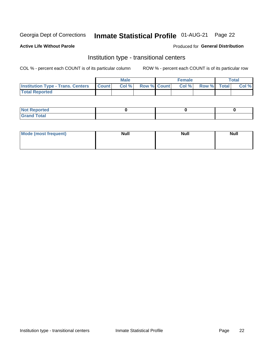## Inmate Statistical Profile 01-AUG-21 Page 22

### **Active Life Without Parole**

### Produced for General Distribution

## Institution type - transitional centers

COL % - percent each COUNT is of its particular column

|                                          |              | <b>Male</b> |                    | <b>Female</b> |             | <b>Total</b> |
|------------------------------------------|--------------|-------------|--------------------|---------------|-------------|--------------|
| <b>Institution Type - Trans. Centers</b> | <b>Count</b> | CoI%        | <b>Row % Count</b> | Col %         | Row % Total | Col %        |
| <b>Total Reported</b>                    |              |             |                    |               |             |              |

| <b>Reported</b><br><b>NOT</b><br>$\sim$            |  |  |
|----------------------------------------------------|--|--|
| $f$ $f \circ f \circ f$<br>$C = 1$<br><b>TULAI</b> |  |  |

| Mode (most frequent) | <b>Null</b> | <b>Null</b> | <b>Null</b> |
|----------------------|-------------|-------------|-------------|
|                      |             |             |             |
|                      |             |             |             |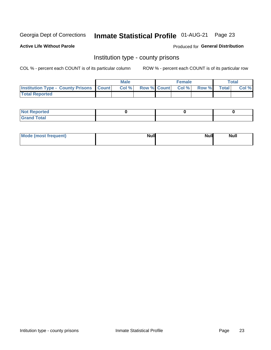## Inmate Statistical Profile 01-AUG-21 Page 23

**Active Life Without Parole** 

Produced for General Distribution

## Institution type - county prisons

COL % - percent each COUNT is of its particular column

|                                                    | <b>Male</b> |       |  | <b>Female</b> |                          |             | <b>Total</b> |       |
|----------------------------------------------------|-------------|-------|--|---------------|--------------------------|-------------|--------------|-------|
| <b>Institution Type - County Prisons   Count  </b> |             | Col % |  |               | <b>Row % Count Col %</b> | Row % Total |              | Col % |
| <b>Total Reported</b>                              |             |       |  |               |                          |             |              |       |

| <b>Not Reported</b>   |  |  |
|-----------------------|--|--|
| <b>Total</b><br>Granc |  |  |

| Mode (most frequent) | <b>Null</b> | <b>Null</b><br><b>Null</b> |
|----------------------|-------------|----------------------------|
|                      |             |                            |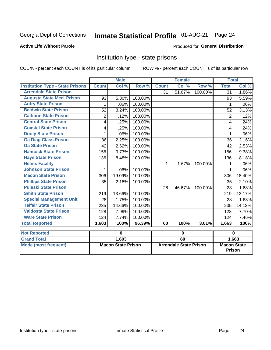#### Inmate Statistical Profile 01-AUG-21 Page 24

### **Active Life Without Parole**

### Produced for General Distribution

## Institution type - state prisons

COL % - percent each COUNT is of its particular column

ROW % - percent each COUNT is of its particular row

|                                         | <b>Male</b>        |                           |         |                        | <b>Female</b> |            | <b>Total</b>                |        |  |
|-----------------------------------------|--------------------|---------------------------|---------|------------------------|---------------|------------|-----------------------------|--------|--|
| <b>Institution Type - State Prisons</b> | <b>Count</b>       | Col%                      | Row %   | <b>Count</b>           | Col %         | Row %      | <b>Total</b>                | Col %  |  |
| <b>Arrendale State Prison</b>           |                    |                           |         | 31                     | 51.67%        | $100.00\%$ | $\overline{31}$             | 1.86%  |  |
| <b>Augusta State Med. Prison</b>        | 93                 | 5.80%                     | 100.00% |                        |               |            | 93                          | 5.59%  |  |
| <b>Autry State Prison</b>               | 1                  | .06%                      | 100.00% |                        |               |            | 1                           | .06%   |  |
| <b>Baldwin State Prison</b>             | 52                 | 3.24%                     | 100.00% |                        |               |            | 52                          | 3.13%  |  |
| <b>Calhoun State Prison</b>             | 2                  | .12%                      | 100.00% |                        |               |            | 2                           | .12%   |  |
| <b>Central State Prison</b>             | 4                  | .25%                      | 100.00% |                        |               |            | 4                           | .24%   |  |
| <b>Coastal State Prison</b>             | 4                  | .25%                      | 100.00% |                        |               |            | 4                           | .24%   |  |
| <b>Dooly State Prison</b>               |                    | .06%                      | 100.00% |                        |               |            |                             | .06%   |  |
| <b>Ga Diag Class Prison</b>             | 36                 | 2.25%                     | 100.00% |                        |               |            | 36                          | 2.16%  |  |
| <b>Ga State Prison</b>                  | 42                 | 2.62%                     | 100.00% |                        |               |            | 42                          | 2.53%  |  |
| <b>Hancock State Prison</b>             | 156                | 9.73%                     | 100.00% |                        |               |            | 156                         | 9.38%  |  |
| <b>Hays State Prison</b>                | 136                | 8.48%                     | 100.00% |                        |               |            | 136                         | 8.18%  |  |
| <b>Helms Facility</b>                   |                    |                           |         | 1                      | 1.67%         | 100.00%    |                             | .06%   |  |
| <b>Johnson State Prison</b>             | 1                  | .06%                      | 100.00% |                        |               |            |                             | .06%   |  |
| <b>Macon State Prison</b>               | 306                | 19.09%                    | 100.00% |                        |               |            | 306                         | 18.40% |  |
| <b>Phillips State Prison</b>            | 35                 | 2.18%                     | 100.00% |                        |               |            | 35                          | 2.10%  |  |
| <b>Pulaski State Prison</b>             |                    |                           |         | 28                     | 46.67%        | 100.00%    | 28                          | 1.68%  |  |
| <b>Smith State Prison</b>               | 219                | 13.66%                    | 100.00% |                        |               |            | 219                         | 13.17% |  |
| <b>Special Management Unit</b>          | 28                 | 1.75%                     | 100.00% |                        |               |            | 28                          | 1.68%  |  |
| <b>Telfair State Prison</b>             | 235                | 14.66%                    | 100.00% |                        |               |            | 235                         | 14.13% |  |
| <b>Valdosta State Prison</b>            | 128                | 7.99%                     | 100.00% |                        |               |            | 128                         | 7.70%  |  |
| <b>Ware State Prison</b>                | 124                | 7.74%                     | 100.00% |                        |               |            | 124                         | 7.46%  |  |
| <b>Total Reported</b>                   | $\overline{1,}603$ | 100%                      | 96.39%  | 60                     | 100%          | 3.61%      | 1,663                       | 100%   |  |
| <b>Not Reported</b>                     |                    | 0                         |         | 0                      |               |            | $\bf{0}$                    |        |  |
| <b>Grand Total</b>                      |                    | 1,603                     |         | 60                     |               |            |                             |        |  |
| Mode (most frequent)                    |                    | <b>Macon State Prison</b> |         | Arrendale State Prison |               |            | 1,663<br><b>Macon State</b> |        |  |

Prison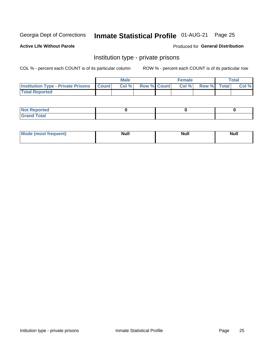## Inmate Statistical Profile 01-AUG-21 Page 25

## **Active Life Without Parole**

### Produced for General Distribution

## Institution type - private prisons

COL % - percent each COUNT is of its particular column

|                                                     | <b>Male</b> |       |                    | <b>Female</b> |       |             | Total |       |
|-----------------------------------------------------|-------------|-------|--------------------|---------------|-------|-------------|-------|-------|
| <b>Institution Type - Private Prisons   Count  </b> |             | Col % | <b>Row % Count</b> |               | Col % | Row % Total |       | Col % |
| <b>Total Reported</b>                               |             |       |                    |               |       |             |       |       |

| Not Reported           |  |  |
|------------------------|--|--|
| <b>Cotal</b><br>______ |  |  |

| <b>Mo</b><br>frequent) | <b>Null</b> | <b>Null</b> | . . I *<br><b>IVUII</b> |
|------------------------|-------------|-------------|-------------------------|
|                        |             |             |                         |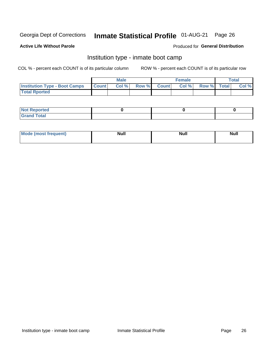#### Inmate Statistical Profile 01-AUG-21 Page 26

### **Active Life Without Parole**

### Produced for General Distribution

## Institution type - inmate boot camp

COL % - percent each COUNT is of its particular column

|                                      | <b>Male</b>  |       |               |              | <b>Female</b> | <b>Total</b> |  |       |
|--------------------------------------|--------------|-------|---------------|--------------|---------------|--------------|--|-------|
| <b>Institution Type - Boot Camps</b> | <b>Count</b> | Col % | <b>Row %I</b> | <b>Count</b> | Col %         | Row % Total  |  | Col % |
| <b>Total Rported</b>                 |              |       |               |              |               |              |  |       |

| <b>Not Reported</b>            |  |  |
|--------------------------------|--|--|
| <b>Total</b><br>C <sub>r</sub> |  |  |

| Mod<br>uamo | Nul.<br>$- - - - - -$ | <b>Null</b> | . .<br>uu.<br>------ |
|-------------|-----------------------|-------------|----------------------|
|             |                       |             |                      |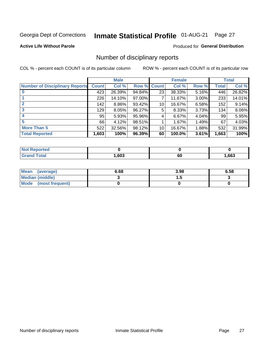## Inmate Statistical Profile 01-AUG-21 Page 27

### **Active Life Without Parole**

### Produced for General Distribution

## Number of disciplinary reports

COL % - percent each COUNT is of its particular column

|                                       | <b>Male</b>  |          |        | <b>Female</b> |        |          | <b>Total</b> |        |
|---------------------------------------|--------------|----------|--------|---------------|--------|----------|--------------|--------|
| <b>Number of Disciplinary Reports</b> | <b>Count</b> | Col %    | Row %  | <b>Count</b>  | Col %  | Row %    | Total        | Col %  |
|                                       | 423          | 26.39%   | 94.84% | 23            | 38.33% | 5.16%    | 446          | 26.82% |
|                                       | 226          | 14.10%   | 97.00% | 7             | 11.67% | 3.00%    | 233          | 14.01% |
| $\mathbf{2}$                          | 142          | $8.86\%$ | 93.42% | 10            | 16.67% | $6.58\%$ | 152          | 9.14%  |
| 3                                     | 129          | 8.05%    | 96.27% | 5             | 8.33%  | 3.73%    | 134          | 8.06%  |
|                                       | 95           | 5.93%    | 95.96% | 4             | 6.67%  | 4.04%    | 99           | 5.95%  |
| 5                                     | 66           | 4.12%    | 98.51% |               | 1.67%  | 1.49%    | 67           | 4.03%  |
| <b>More Than 5</b>                    | 522          | 32.56%   | 98.12% | 10            | 16.67% | 1.88%    | 532          | 31.99% |
| <b>Total Reported</b>                 | 1,603        | 100%     | 96.39% | 60            | 100.0% | 3.61%    | 1,663        | 100%   |

| <b>Not Reported</b> |      |          |      |
|---------------------|------|----------|------|
| <sup>-</sup> otal   | .603 | ~~<br>ου | ,663 |

| Mean (average)         | 6.68 | 3.98 | 6.58 |
|------------------------|------|------|------|
| <b>Median (middle)</b> |      | . .  |      |
| Mode (most frequent)   |      |      |      |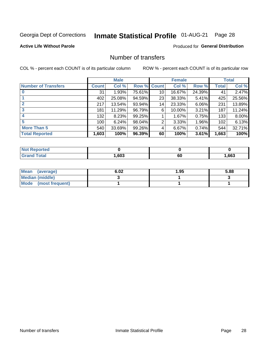## Inmate Statistical Profile 01-AUG-21 Page 28

### **Active Life Without Parole**

## **Produced for General Distribution**

## Number of transfers

COL % - percent each COUNT is of its particular column

|                            | <b>Male</b> |        | <b>Female</b> |              |        | <b>Total</b> |              |        |
|----------------------------|-------------|--------|---------------|--------------|--------|--------------|--------------|--------|
| <b>Number of Transfers</b> | Count l     | Col %  | Row %         | <b>Count</b> | Col %  | Row %        | <b>Total</b> | Col %  |
|                            | 31          | 1.93%  | 75.61%        | 10           | 16.67% | 24.39%       | 41           | 2.47%  |
|                            | 402         | 25.08% | 94.59%        | 23           | 38.33% | 5.41%        | 425          | 25.56% |
| $\mathbf{2}$               | 217         | 13.54% | 93.94%        | 14           | 23.33% | 6.06%        | 231          | 13.89% |
| 3                          | 181         | 11.29% | 96.79%        | 6            | 10.00% | 3.21%        | 187          | 11.24% |
|                            | 132         | 8.23%  | 99.25%        |              | 1.67%  | 0.75%        | 133          | 8.00%  |
| 5                          | 100         | 6.24%  | 98.04%        | 2            | 3.33%  | 1.96%        | 102          | 6.13%  |
| <b>More Than 5</b>         | 540         | 33.69% | 99.26%        | 4            | 6.67%  | 0.74%        | 544          | 32.71% |
| <b>Total Reported</b>      | 1,603       | 100%   | 96.39%        | 60           | 100%   | 3.61%        | 1,663        | 100%   |

| rted<br><b>NOT</b> |      |          |      |
|--------------------|------|----------|------|
|                    | .603 | r,<br>οu | .663 |

| Mean (average)       | 6.02 | 1.95 | 5.88 |
|----------------------|------|------|------|
| Median (middle)      |      |      |      |
| Mode (most frequent) |      |      |      |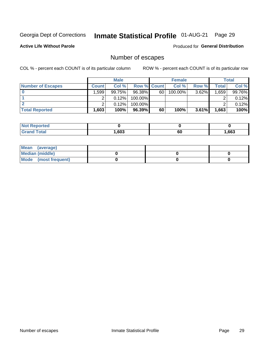## Inmate Statistical Profile 01-AUG-21 Page 29

**Active Life Without Parole** 

**Produced for General Distribution** 

## Number of escapes

COL % - percent each COUNT is of its particular column

|                          | <b>Male</b>       |        |                    | <b>Female</b> |         |          | Total |        |
|--------------------------|-------------------|--------|--------------------|---------------|---------|----------|-------|--------|
| <b>Number of Escapes</b> | <b>Count</b>      | Col %  | <b>Row % Count</b> |               | Col %   | Row %    | Total | Col %  |
|                          | ا 599.،           | 99.75% | 96.38%             | 60            | 100.00% | 3.62%    | .659  | 99.76% |
|                          |                   | 0.12%  | $100.00\%$         |               |         |          |       | 0.12%  |
|                          |                   | 0.12%  | $100.00\%$         |               |         |          |       | 0.12%  |
| <b>Total Reported</b>    | .603 <sup>1</sup> | 100%   | 96.39%             | 60            | 100%    | $3.61\%$ | 1,663 | 100%   |

| <b>Not Reported</b> |      |    |       |
|---------------------|------|----|-------|
| <b>Total</b>        | ,603 | 60 | 1,663 |

| Mean (average)       |  |  |
|----------------------|--|--|
| Median (middle)      |  |  |
| Mode (most frequent) |  |  |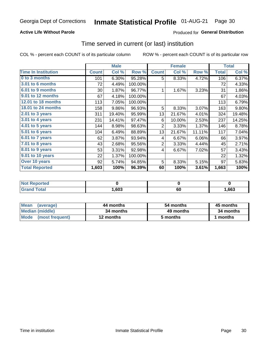## **Active Life Without Parole**

## **Produced for General Distribution**

## Time served in current (or last) institution

COL % - percent each COUNT is of its particular column

|                            |              | <b>Male</b> |         |                | <b>Female</b> | <b>Total</b> |              |        |
|----------------------------|--------------|-------------|---------|----------------|---------------|--------------|--------------|--------|
| <b>Time In Institution</b> | <b>Count</b> | Col %       | Row %   | <b>Count</b>   | Col %         | Row %        | <b>Total</b> | Col %  |
| 0 to 3 months              | 101          | 6.30%       | 95.28%  | 5              | 8.33%         | 4.72%        | 106          | 6.37%  |
| 3.01 to 6 months           | 72           | 4.49%       | 100.00% |                |               |              | 72           | 4.33%  |
| 6.01 to 9 months           | 30           | 1.87%       | 96.77%  | 1              | 1.67%         | 3.23%        | 31           | 1.86%  |
| 9.01 to 12 months          | 67           | 4.18%       | 100.00% |                |               |              | 67           | 4.03%  |
| <b>12.01 to 18 months</b>  | 113          | 7.05%       | 100.00% |                |               |              | 113          | 6.79%  |
| 18.01 to 24 months         | 158          | 9.86%       | 96.93%  | 5              | 8.33%         | 3.07%        | 163          | 9.80%  |
| 2.01 to 3 years            | 311          | 19.40%      | 95.99%  | 13             | 21.67%        | 4.01%        | 324          | 19.48% |
| 3.01 to 4 years            | 231          | 14.41%      | 97.47%  | 6              | 10.00%        | 2.53%        | 237          | 14.25% |
| 4.01 to 5 years            | 144          | 8.98%       | 98.63%  | $\overline{2}$ | 3.33%         | 1.37%        | 146          | 8.78%  |
| 5.01 to 6 years            | 104          | 6.49%       | 88.89%  | 13             | 21.67%        | 11.11%       | 117          | 7.04%  |
| 6.01 to 7 years            | 62           | 3.87%       | 93.94%  | 4              | 6.67%         | 6.06%        | 66           | 3.97%  |
| 7.01 to 8 years            | 43           | 2.68%       | 95.56%  | $\overline{2}$ | 3.33%         | 4.44%        | 45           | 2.71%  |
| 8.01 to 9 years            | 53           | 3.31%       | 92.98%  | 4              | 6.67%         | 7.02%        | 57           | 3.43%  |
| 9.01 to 10 years           | 22           | 1.37%       | 100.00% |                |               |              | 22           | 1.32%  |
| Over 10 years              | 92           | 5.74%       | 94.85%  | 5              | 8.33%         | 5.15%        | 97           | 5.83%  |
| <b>Total Reported</b>      | 1,603        | 100%        | 96.39%  | 60             | 100%          | 3.61%        | 1,663        | 100%   |

| <b>Not Reported</b> |       |    |      |
|---------------------|-------|----|------|
| $T \cap f \circ f$  | 603,، | 6L | ,663 |

| <b>Mean</b><br>(average) | 44 months | 54 months | 45 months |
|--------------------------|-----------|-----------|-----------|
| Median (middle)          | 34 months | 49 months | 34 months |
| Mode (most frequent)     | 12 months | 5 months  | 1 months  |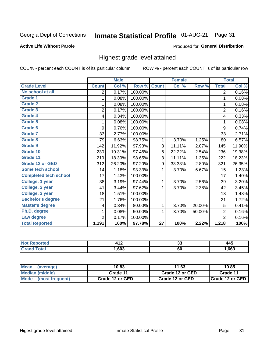#### **Inmate Statistical Profile 01-AUG-21** Page 31

### **Active Life Without Parole**

### Produced for General Distribution

## Highest grade level attained

COL % - percent each COUNT is of its particular column

|                              |                | <b>Male</b> |         |                 | <b>Female</b> |        |                | <b>Total</b> |
|------------------------------|----------------|-------------|---------|-----------------|---------------|--------|----------------|--------------|
| <b>Grade Level</b>           | <b>Count</b>   | Col %       | Row %   | <b>Count</b>    | Col %         | Row %  | <b>Total</b>   | Col %        |
| No school at all             | 2              | 0.17%       | 100.00% |                 |               |        | $\overline{2}$ | 0.16%        |
| <b>Grade 1</b>               | 1              | 0.08%       | 100.00% |                 |               |        | 1              | 0.08%        |
| <b>Grade 2</b>               | 1              | 0.08%       | 100.00% |                 |               |        | 1              | 0.08%        |
| Grade 3                      | $\overline{2}$ | 0.17%       | 100.00% |                 |               |        | $\overline{2}$ | 0.16%        |
| <b>Grade 4</b>               | 4              | 0.34%       | 100.00% |                 |               |        | 4              | 0.33%        |
| Grade 5                      | 1              | 0.08%       | 100.00% |                 |               |        | 1              | 0.08%        |
| Grade 6                      | 9              | 0.76%       | 100.00% |                 |               |        | 9              | 0.74%        |
| Grade 7                      | 33             | 2.77%       | 100.00% |                 |               |        | 33             | 2.71%        |
| Grade 8                      | 79             | 6.63%       | 98.75%  | 1               | 3.70%         | 1.25%  | 80             | 6.57%        |
| Grade 9                      | 142            | 11.92%      | 97.93%  | 3               | 11.11%        | 2.07%  | 145            | 11.90%       |
| Grade 10                     | 230            | 19.31%      | 97.46%  | 6               | 22.22%        | 2.54%  | 236            | 19.38%       |
| Grade 11                     | 219            | 18.39%      | 98.65%  | 3               | 11.11%        | 1.35%  | 222            | 18.23%       |
| <b>Grade 12 or GED</b>       | 312            | 26.20%      | 97.20%  | 9               | 33.33%        | 2.80%  | 321            | 26.35%       |
| Some tech school             | 14             | 1.18%       | 93.33%  | 1               | 3.70%         | 6.67%  | 15             | 1.23%        |
| <b>Completed tech school</b> | 17             | 1.43%       | 100.00% |                 |               |        | 17             | 1.40%        |
| College, 1 year              | 38             | 3.19%       | 97.44%  | 1               | 3.70%         | 2.56%  | 39             | 3.20%        |
| College, 2 year              | 41             | 3.44%       | 97.62%  | 1               | 3.70%         | 2.38%  | 42             | 3.45%        |
| College, 3 year              | 18             | 1.51%       | 100.00% |                 |               |        | 18             | 1.48%        |
| <b>Bachelor's degree</b>     | 21             | 1.76%       | 100.00% |                 |               |        | 21             | 1.72%        |
| <b>Master's degree</b>       | 4              | 0.34%       | 80.00%  | 1               | 3.70%         | 20.00% | 5              | 0.41%        |
| Ph.D. degree                 | 1              | 0.08%       | 50.00%  | 1               | 3.70%         | 50.00% | $\overline{2}$ | 0.16%        |
| Law degree                   | $\overline{2}$ | 0.17%       | 100.00% |                 |               |        | $\overline{2}$ | 0.16%        |
| <b>Total Reported</b>        | 1,191          | 100%        | 97.78%  | $\overline{27}$ | 100%          | 2.22%  | 1,218          | 100%         |

| rtec<br>NO | $\overline{A}$<br>. | ^^<br>◡ | 445  |
|------------|---------------------|---------|------|
|            | .603                | 60      | .663 |

| <b>Mean</b><br>(average) | 10.83           | 11.63           | 10.85           |
|--------------------------|-----------------|-----------------|-----------------|
| Median (middle)          | Grade 11        | Grade 12 or GED | Grade 11        |
| Mode<br>(most frequent)  | Grade 12 or GED | Grade 12 or GED | Grade 12 or GED |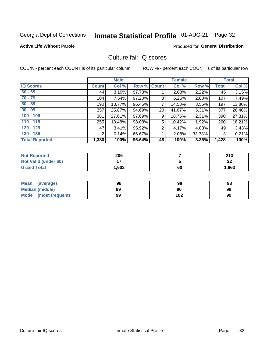#### **Inmate Statistical Profile 01-AUG-21** Page 32

### **Active Life Without Parole**

## **Produced for General Distribution**

## Culture fair IQ scores

COL % - percent each COUNT is of its particular column

|                       |              | <b>Male</b> |        |                | <b>Female</b> |          |              | <b>Total</b> |
|-----------------------|--------------|-------------|--------|----------------|---------------|----------|--------------|--------------|
| <b>IQ Scores</b>      | <b>Count</b> | Col %       |        | Row % Count    | Col %         | Row %    | <b>Total</b> | Col %        |
| $60 - 69$             | 44           | 3.19%       | 97.78% |                | 2.08%         | 2.22%    | 45           | 3.15%        |
| $70 - 79$             | 104          | 7.54%       | 97.20% | 3              | 6.25%         | 2.80%    | 107          | 7.49%        |
| $80 - 89$             | 190          | 13.77%      | 96.45% | 7              | 14.58%        | $3.55\%$ | 197          | 13.80%       |
| $90 - 99$             | 357          | 25.87%      | 94.69% | 20             | 41.67%        | 5.31%    | 377          | 26.40%       |
| $100 - 109$           | 381          | 27.61%      | 97.69% | 9              | 18.75%        | 2.31%    | 390          | 27.31%       |
| $110 - 119$           | 255          | 18.48%      | 98.08% | 5              | 10.42%        | 1.92%    | 260          | 18.21%       |
| $120 - 129$           | 47           | 3.41%       | 95.92% | $\overline{2}$ | 4.17%         | 4.08%    | 49           | 3.43%        |
| $130 - 139$           | 2            | 0.14%       | 66.67% | 1              | 2.08%         | 33.33%   | 3            | 0.21%        |
| <b>Total Reported</b> | 1,380        | 100%        | 96.64% | 48             | 100%          | 3.36%    | 1,428        | 100%         |

| <b>Not Reported</b>  | 206   |    | つイク<br>2 I J |
|----------------------|-------|----|--------------|
| Not Valid (under 60) |       |    | ົ<br>LL      |
| <b>Grand Total</b>   | 1,603 | 60 | 1,663        |

| Mean<br>(average)    | 98 | 98  | 98 |
|----------------------|----|-----|----|
| Median (middle)      | 99 | 96  | 99 |
| Mode (most frequent) | 99 | 102 | 99 |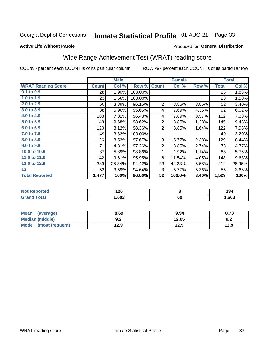#### **Inmate Statistical Profile 01-AUG-21** Page 33

### **Active Life Without Parole**

## Produced for General Distribution

## Wide Range Achievement Test (WRAT) reading score

COL % - percent each COUNT is of its particular column

|                           | <b>Male</b>  |        | <b>Female</b> |                |        | <b>Total</b> |              |        |
|---------------------------|--------------|--------|---------------|----------------|--------|--------------|--------------|--------|
| <b>WRAT Reading Score</b> | <b>Count</b> | Col %  | Row %         | <b>Count</b>   | Col %  | Row %        | <b>Total</b> | Col %  |
| 0.1 to 0.9                | 28           | 1.90%  | 100.00%       |                |        |              | 28           | 1.83%  |
| 1.0 to 1.9                | 23           | 1.56%  | 100.00%       |                |        |              | 23           | 1.50%  |
| 2.0 to 2.9                | 50           | 3.39%  | 96.15%        | $\overline{2}$ | 3.85%  | 3.85%        | 52           | 3.40%  |
| 3.0 to 3.9                | 88           | 5.96%  | 95.65%        | 4              | 7.69%  | 4.35%        | 92           | 6.02%  |
| 4.0 to 4.9                | 108          | 7.31%  | 96.43%        | 4              | 7.69%  | 3.57%        | 112          | 7.33%  |
| 5.0 to 5.9                | 143          | 9.68%  | 98.62%        | $\overline{2}$ | 3.85%  | 1.38%        | 145          | 9.48%  |
| 6.0 to 6.9                | 120          | 8.12%  | 98.36%        | $\overline{2}$ | 3.85%  | 1.64%        | 122          | 7.98%  |
| 7.0 to 7.9                | 49           | 3.32%  | 100.00%       |                |        |              | 49           | 3.20%  |
| 8.0 to 8.9                | 126          | 8.53%  | 97.67%        | 3              | 5.77%  | 2.33%        | 129          | 8.44%  |
| 9.0 to 9.9                | 71           | 4.81%  | 97.26%        | $\overline{2}$ | 3.85%  | 2.74%        | 73           | 4.77%  |
| 10.0 to 10.9              | 87           | 5.89%  | 98.86%        | 1              | 1.92%  | 1.14%        | 88           | 5.76%  |
| 11.0 to 11.9              | 142          | 9.61%  | 95.95%        | 6              | 11.54% | 4.05%        | 148          | 9.68%  |
| 12.0 to 12.9              | 389          | 26.34% | 94.42%        | 23             | 44.23% | 5.58%        | 412          | 26.95% |
| 13                        | 53           | 3.59%  | 94.64%        | 3              | 5.77%  | 5.36%        | 56           | 3.66%  |
| <b>Total Reported</b>     | 1,477        | 100%   | 96.60%        | 52             | 100.0% | 3.40%        | 1,529        | 100%   |

| <b>ortea</b><br><b>NOT</b> | מר ו<br>ם 1 |    | דטו  |
|----------------------------|-------------|----|------|
|                            | ,603        | σu | ,663 |

| <b>Mean</b><br>(average)       | 8.69         | 9.94  | 8.73 |
|--------------------------------|--------------|-------|------|
| Median (middle)                | ר ח<br>้ ⊎.∠ | 12.05 | 9.2  |
| <b>Mode</b><br>(most frequent) | 12.9         | 12.9  | 12.9 |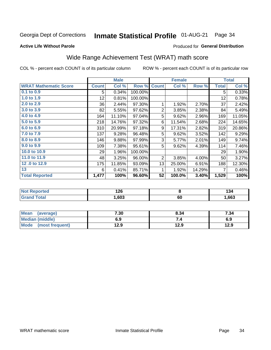#### **Inmate Statistical Profile 01-AUG-21** Page 34

### **Active Life Without Parole**

### Produced for General Distribution

## Wide Range Achievement Test (WRAT) math score

COL % - percent each COUNT is of its particular column

|                              | <b>Male</b>  |        | <b>Female</b> |                |        | <b>Total</b> |              |        |
|------------------------------|--------------|--------|---------------|----------------|--------|--------------|--------------|--------|
| <b>WRAT Mathematic Score</b> | <b>Count</b> | Col %  | Row %         | <b>Count</b>   | Col %  | Row %        | <b>Total</b> | Col %  |
| $0.1$ to $0.9$               | 5            | 0.34%  | 100.00%       |                |        |              | 5            | 0.33%  |
| 1.0 to 1.9                   | 12           | 0.81%  | 100.00%       |                |        |              | 12           | 0.78%  |
| 2.0 to 2.9                   | 36           | 2.44%  | 97.30%        | 1              | 1.92%  | 2.70%        | 37           | 2.42%  |
| 3.0 to 3.9                   | 82           | 5.55%  | 97.62%        | $\overline{2}$ | 3.85%  | 2.38%        | 84           | 5.49%  |
| 4.0 to 4.9                   | 164          | 11.10% | 97.04%        | 5              | 9.62%  | 2.96%        | 169          | 11.05% |
| 5.0 to 5.9                   | 218          | 14.76% | 97.32%        | 6              | 11.54% | 2.68%        | 224          | 14.65% |
| 6.0 to 6.9                   | 310          | 20.99% | 97.18%        | 9              | 17.31% | 2.82%        | 319          | 20.86% |
| 7.0 to 7.9                   | 137          | 9.28%  | 96.48%        | 5              | 9.62%  | 3.52%        | 142          | 9.29%  |
| 8.0 to 8.9                   | 146          | 9.88%  | 97.99%        | 3              | 5.77%  | 2.01%        | 149          | 9.74%  |
| 9.0 to 9.9                   | 109          | 7.38%  | 95.61%        | 5              | 9.62%  | 4.39%        | 114          | 7.46%  |
| 10.0 to 10.9                 | 29           | 1.96%  | 100.00%       |                |        |              | 29           | 1.90%  |
| 11.0 to 11.9                 | 48           | 3.25%  | 96.00%        | $\overline{2}$ | 3.85%  | 4.00%        | 50           | 3.27%  |
| 12.0 to 12.9                 | 175          | 11.85% | 93.09%        | 13             | 25.00% | 6.91%        | 188          | 12.30% |
| 13                           | 6            | 0.41%  | 85.71%        | 1              | 1.92%  | 14.29%       | 7            | 0.46%  |
| <b>Total Reported</b>        | 1,477        | 100%   | 96.60%        | 52             | 100.0% | 3.40%        | 1,529        | 100%   |

| <b>Not Reported</b>    | 126  |    | $\overline{\phantom{a}}$<br>194 |
|------------------------|------|----|---------------------------------|
| <b>Total</b><br>'Grand | ,603 | σu | ,663                            |

| <b>Mean</b><br>(average) | 7.30 | 8.34 | 7.34 |
|--------------------------|------|------|------|
| <b>Median (middle)</b>   | 6.9  |      | 6.9  |
| Mode (most frequent)     | 12.9 | 12.9 | 12.9 |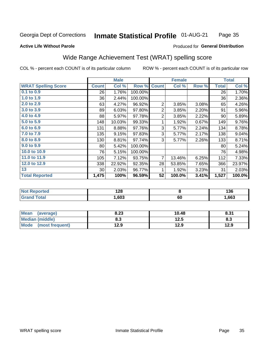#### Inmate Statistical Profile 01-AUG-21 Page 35

### **Active Life Without Parole**

### Produced for General Distribution

## Wide Range Achievement Test (WRAT) spelling score

COL % - percent each COUNT is of its particular column

|                            |              | <b>Male</b> |         | <b>Female</b>  |        |       | <b>Total</b> |        |
|----------------------------|--------------|-------------|---------|----------------|--------|-------|--------------|--------|
| <b>WRAT Spelling Score</b> | <b>Count</b> | Col %       | Row %   | <b>Count</b>   | Col %  | Row % | <b>Total</b> | Col %  |
| $0.1$ to $0.9$             | 26           | 1.76%       | 100.00% |                |        |       | 26           | 1.70%  |
| 1.0 to 1.9                 | 36           | 2.44%       | 100.00% |                |        |       | 36           | 2.36%  |
| 2.0 to 2.9                 | 63           | 4.27%       | 96.92%  | $\overline{2}$ | 3.85%  | 3.08% | 65           | 4.26%  |
| 3.0 to 3.9                 | 89           | 6.03%       | 97.80%  | $\overline{2}$ | 3.85%  | 2.20% | 91           | 5.96%  |
| 4.0 to 4.9                 | 88           | 5.97%       | 97.78%  | $\overline{2}$ | 3.85%  | 2.22% | 90           | 5.89%  |
| 5.0 to 5.9                 | 148          | 10.03%      | 99.33%  | 1              | 1.92%  | 0.67% | 149          | 9.76%  |
| 6.0 to 6.9                 | 131          | 8.88%       | 97.76%  | 3              | 5.77%  | 2.24% | 134          | 8.78%  |
| 7.0 to 7.9                 | 135          | 9.15%       | 97.83%  | 3              | 5.77%  | 2.17% | 138          | 9.04%  |
| 8.0 to 8.9                 | 130          | 8.81%       | 97.74%  | 3              | 5.77%  | 2.26% | 133          | 8.71%  |
| 9.0 to 9.9                 | 80           | 5.42%       | 100.00% |                |        |       | 80           | 5.24%  |
| 10.0 to 10.9               | 76           | 5.15%       | 100.00% |                |        |       | 76           | 4.98%  |
| 11.0 to 11.9               | 105          | 7.12%       | 93.75%  | 7              | 13.46% | 6.25% | 112          | 7.33%  |
| 12.0 to 12.9               | 338          | 22.92%      | 92.35%  | 28             | 53.85% | 7.65% | 366          | 23.97% |
| 13                         | 30           | 2.03%       | 96.77%  | 1              | 1.92%  | 3.23% | 31           | 2.03%  |
| <b>Total Reported</b>      | 1,475        | 100%        | 96.59%  | 52             | 100.0% | 3.41% | 1,527        | 100.0% |
|                            |              |             |         |                |        |       |              |        |

| <b>Not Reported</b>    | 128  |          | 136  |
|------------------------|------|----------|------|
| <b>Total</b><br>'Grand | ,603 | ^^<br>οu | ,663 |

| Mean (average)         | 8.23 | 10.48 | 8.31 |
|------------------------|------|-------|------|
| <b>Median (middle)</b> | 8.3  | 12.5  | ი.ა  |
| Mode (most frequent)   | 12.9 | 12.9  | 12.9 |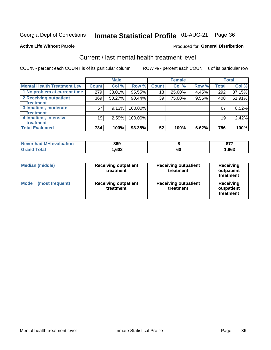## Inmate Statistical Profile 01-AUG-21 Page 36

### **Active Life Without Parole**

### **Produced for General Distribution**

## Current / last mental health treatment level

COL % - percent each COUNT is of its particular column

|                                    |              | <b>Male</b> |         |              | <b>Female</b> |       |              | <b>Total</b> |
|------------------------------------|--------------|-------------|---------|--------------|---------------|-------|--------------|--------------|
| <b>Mental Health Treatment Lev</b> | <b>Count</b> | Col %       | Row %   | <b>Count</b> | Col %         | Row % | <b>Total</b> | Col %        |
| 1 No problem at current time       | 279          | 38.01%      | 95.55%  | 13           | 25.00%        | 4.45% | 292          | 37.15%       |
| 2 Receiving outpatient             | 369          | 50.27%      | 90.44%  | 39           | 75.00%        | 9.56% | 408          | 51.91%       |
| <b>Treatment</b>                   |              |             |         |              |               |       |              |              |
| 3 Inpatient, moderate              | 67           | 9.13%       | 100.00% |              |               |       | 67           | 8.52%        |
| <b>Treatment</b>                   |              |             |         |              |               |       |              |              |
| 4 Inpatient, intensive             | 19           | 2.59%       | 100.00% |              |               |       | 19           | 2.42%        |
| <b>Treatment</b>                   |              |             |         |              |               |       |              |              |
| <b>Total Evaluated</b>             | 734          | 100%        | 93.38%  | 52           | 100%          | 6.62% | 786          | 100%         |

| Never had MH evaluation | 869  |    | 077<br>v, |
|-------------------------|------|----|-----------|
| $\sim$ fol              | .603 | 60 | .663      |

| <b>Median (middle)</b>         | <b>Receiving outpatient</b><br>treatment | <b>Receiving outpatient</b><br>treatment | <b>Receiving</b><br>outpatient<br>treatment |  |
|--------------------------------|------------------------------------------|------------------------------------------|---------------------------------------------|--|
| <b>Mode</b><br>(most frequent) | <b>Receiving outpatient</b><br>treatment | <b>Receiving outpatient</b><br>treatment | <b>Receiving</b><br>outpatient<br>treatment |  |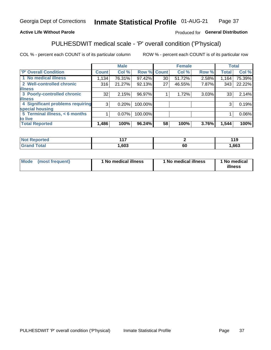#### Inmate Statistical Profile 01-AUG-21 Page 37

## **Active Life Without Parole**

### Produced for General Distribution

## PULHESDWIT medical scale - 'P' overall condition ('P'hysical)

COL % - percent each COUNT is of its particular column

|                                  |                | <b>Male</b> |             |                 | <b>Female</b> |       |              | <b>Total</b> |
|----------------------------------|----------------|-------------|-------------|-----------------|---------------|-------|--------------|--------------|
| 'P' Overall Condition            | <b>Count</b>   | Col %       | Row % Count |                 | Col %         | Row % | <b>Total</b> | Col %        |
| 1 No medical illness             | 1,134          | 76.31%      | 97.42%      | 30 <sup>1</sup> | 51.72%        | 2.58% | 1,164        | 75.39%       |
| 2 Well-controlled chronic        | 316            | 21.27%      | 92.13%      | 27              | 46.55%        | 7.87% | 343          | 22.22%       |
| <b>illness</b>                   |                |             |             |                 |               |       |              |              |
| 3 Poorly-controlled chronic      | 32             | 2.15%       | 96.97%      |                 | 1.72%         | 3.03% | 33           | 2.14%        |
| <b>illness</b>                   |                |             |             |                 |               |       |              |              |
| 4 Significant problems requiring | 3 <sup>1</sup> | 0.20%       | 100.00%     |                 |               |       | 3            | 0.19%        |
| special housing                  |                |             |             |                 |               |       |              |              |
| 5 Terminal illness, < 6 months   |                | $0.07\%$    | 100.00%     |                 |               |       |              | 0.06%        |
| to live                          |                |             |             |                 |               |       |              |              |
| <b>Total Reported</b>            | 1,486          | 100%        | 96.24%      | 58              | 100%          | 3.76% | 1,544        | 100%         |

| rtea<br>.<br>.            | 447  |    | 44C<br>. . J |
|---------------------------|------|----|--------------|
| $F_{\alpha}$ ial<br>_____ | ,603 | υu | ,663         |

|  |  | Mode (most frequent) | 1 No medical illness | 1 No medical illness | 1 No medical<br>illness |
|--|--|----------------------|----------------------|----------------------|-------------------------|
|--|--|----------------------|----------------------|----------------------|-------------------------|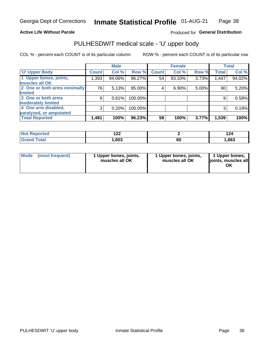## **Active Life Without Parole**

### Produced for General Distribution

## PULHESDWIT medical scale - 'U' upper body

COL % - percent each COUNT is of its particular column

|                              |              | <b>Male</b> |           |              | <b>Female</b> |       |              | <b>Total</b> |
|------------------------------|--------------|-------------|-----------|--------------|---------------|-------|--------------|--------------|
| <b>U' Upper Body</b>         | <b>Count</b> | Col %       | Row %     | <b>Count</b> | Col %         | Row % | <b>Total</b> | Col %        |
| 1 Upper bones, joints,       | 1,393        | 94.06%      | 96.27%    | 54           | 93.10%        | 3.73% | 1,447        | 94.02%       |
| muscles all OK               |              |             |           |              |               |       |              |              |
| 2 One or both arms minimally | 76           | 5.13%       | $95.00\%$ | 4            | 6.90%         | 5.00% | 80           | 5.20%        |
| limited                      |              |             |           |              |               |       |              |              |
| 3 One or both arms           | 9            | 0.61%       | 100.00%   |              |               |       | 9            | 0.58%        |
| moderately limited           |              |             |           |              |               |       |              |              |
| 4 One arm disabled,          | 3            | 0.20%       | 100.00%   |              |               |       | 3            | 0.19%        |
| paralyzed, or amputated      |              |             |           |              |               |       |              |              |
| <b>Total Reported</b>        | 1,481        | 100%        | 96.23%    | 58           | 100%          | 3.77% | 1,539        | 100%         |

| <b>Not Reported</b> | ៱៱៱<br>1 Ł Ł |    | ה ו<br>124 |
|---------------------|--------------|----|------------|
| <b>Total</b>        | ,603         | ou | ,663       |

| Mode | (most frequent) | 1 Upper bones, joints,<br>muscles all OK | 1 Upper bones, joints,<br>muscles all OK | 1 Upper bones,<br>ljoints, muscles all<br>OK |
|------|-----------------|------------------------------------------|------------------------------------------|----------------------------------------------|
|------|-----------------|------------------------------------------|------------------------------------------|----------------------------------------------|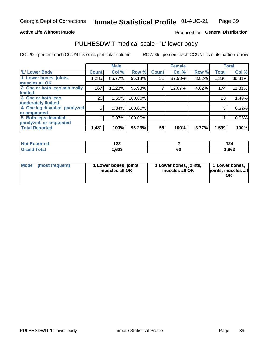## **Active Life Without Parole**

## Produced for General Distribution

## PULHESDWIT medical scale - 'L' lower body

COL % - percent each COUNT is of its particular column

|                                |              | <b>Male</b> |         |              | <b>Female</b> |       |              | <b>Total</b> |
|--------------------------------|--------------|-------------|---------|--------------|---------------|-------|--------------|--------------|
| 'L' Lower Body                 | <b>Count</b> | Col %       | Row %   | <b>Count</b> | Col %         | Row % | <b>Total</b> | Col %        |
| 1 Lower bones, joints,         | 1,285        | 86.77%      | 96.18%  | 51           | 87.93%        | 3.82% | 1,336        | 86.81%       |
| muscles all OK                 |              |             |         |              |               |       |              |              |
| 2 One or both legs minimally   | 167          | 11.28%      | 95.98%  |              | 12.07%        | 4.02% | 174          | 11.31%       |
| limited                        |              |             |         |              |               |       |              |              |
| 3 One or both legs             | 23           | 1.55%       | 100.00% |              |               |       | 23           | 1.49%        |
| moderately limited             |              |             |         |              |               |       |              |              |
| 4 One leg disabled, paralyzed, | 5            | 0.34%       | 100.00% |              |               |       | 5            | 0.32%        |
| or amputated                   |              |             |         |              |               |       |              |              |
| 5 Both legs disabled,          |              | 0.07%       | 100.00% |              |               |       |              | 0.06%        |
| paralyzed, or amputated        |              |             |         |              |               |       |              |              |
| <b>Total Reported</b>          | 1,481        | 100%        | 96.23%  | 58           | 100%          | 3.77% | 1,539        | 100%         |

| <b>Not Reported</b> | י ה<br>1 L L |    |      |
|---------------------|--------------|----|------|
| <b>Grand Total</b>  | 603, ا       | 60 | ,663 |

| Mode (most frequent) | I Lower bones, joints,<br>muscles all OK | 1 Lower bones, joints,<br>muscles all OK | 1 Lower bones,<br>joints, muscles all<br>ΟK |
|----------------------|------------------------------------------|------------------------------------------|---------------------------------------------|
|----------------------|------------------------------------------|------------------------------------------|---------------------------------------------|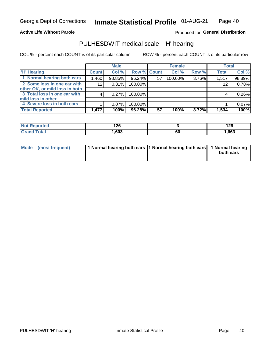### **Active Life Without Parole**

Produced for General Distribution

## PULHESDWIT medical scale - 'H' hearing

COL % - percent each COUNT is of its particular column

|                                |              | <b>Male</b> |             |    | <b>Female</b> |       | <b>Total</b> |        |
|--------------------------------|--------------|-------------|-------------|----|---------------|-------|--------------|--------|
| <b>H' Hearing</b>              | <b>Count</b> | Col %       | Row % Count |    | Col %         | Row % | <b>Total</b> | Col %  |
| 1 Normal hearing both ears     | 1,460        | 98.85%      | 96.24%      | 57 | 100.00%       | 3.76% | 1,517        | 98.89% |
| 2 Some loss in one ear with    | 12           | 0.81%       | 100.00%     |    |               |       | 12           | 0.78%  |
| other OK, or mild loss in both |              |             |             |    |               |       |              |        |
| 3 Total loss in one ear with   | 4            | 0.27%       | 100.00%     |    |               |       | 4            | 0.26%  |
| mild loss in other             |              |             |             |    |               |       |              |        |
| 4 Severe loss in both ears     |              | $0.07\%$    | 100.00%     |    |               |       |              | 0.07%  |
| <b>Total Reported</b>          | 1,477        | 100%        | 96.28%      | 57 | 100%          | 3.72% | 1,534        | 100%   |

| <b>Not</b><br>Reported | מר ו<br>4 Z O |    | 129   |
|------------------------|---------------|----|-------|
| <b>otal</b><br>' Gr≤   | ,603          | 60 | 1,663 |

| Mode (most frequent) | 1 Normal hearing both ears 1 Normal hearing both ears 1 Normal hearing | both ears |
|----------------------|------------------------------------------------------------------------|-----------|
|                      |                                                                        |           |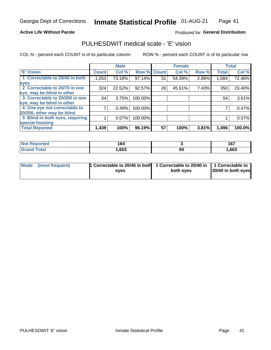### **Active Life Without Parole**

### Produced for General Distribution

## PULHESDWIT medical scale - 'E' vision

COL % - percent each COUNT is of its particular column

|                                 |              | <b>Male</b> |           |             | <b>Female</b> |       |              | <b>Total</b> |
|---------------------------------|--------------|-------------|-----------|-------------|---------------|-------|--------------|--------------|
| <b>E' Vision</b>                | <b>Count</b> | Col %       |           | Row % Count | Col %         | Row % | <b>Total</b> | Col %        |
| 1 Correctable to 20/40 in both  | 1,053        | 73.18%      | 97.14%    | 31          | 54.39%        | 2.86% | 1,084        | 72.46%       |
| eyes                            |              |             |           |             |               |       |              |              |
| 2 Correctable to 20/70 in one   | 324          | 22.52%      | $92.57\%$ | 26          | 45.61%        | 7.43% | 350          | 23.40%       |
| eye, may be blind in other      |              |             |           |             |               |       |              |              |
| 3 Correctable to 20/200 in one  | 54           | 3.75%       | 100.00%   |             |               |       | 54           | 3.61%        |
| eye, may be blind in other      |              |             |           |             |               |       |              |              |
| 4 One eye not correctable to    |              | 0.49%       | 100.00%   |             |               |       |              | 0.47%        |
| 20/200, other may be blind      |              |             |           |             |               |       |              |              |
| 5 Blind in both eyes, requiring |              | 0.07%       | 100.00%   |             |               |       |              | 0.07%        |
| special housing                 |              |             |           |             |               |       |              |              |
| <b>Total Reported</b>           | 1,439        | 100%        | 96.19%    | 57          | 100%          | 3.81% | 1,496        | 100.0%       |

| <b>norted</b><br><b>Report</b><br><b>NOT</b> | 164  |    | 167  |
|----------------------------------------------|------|----|------|
| T <sub>ofol</sub>                            | ,603 | 60 | ,663 |

| Mode (most frequent) | 1 Correctable to 20/40 in both<br>eves | 1 Correctable to 20/40 in   1 Correctable to  <br>both eyes | 20/40 in both eyes |  |
|----------------------|----------------------------------------|-------------------------------------------------------------|--------------------|--|
|                      |                                        |                                                             |                    |  |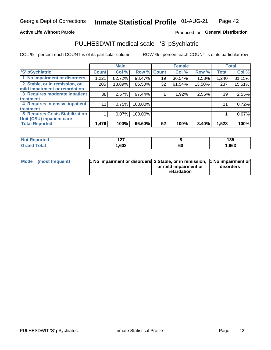### **Active Life Without Parole**

## Produced for General Distribution

## PULHESDWIT medical scale - 'S' pSychiatric

COL % - percent each COUNT is of its particular column

|                                        |              | <b>Male</b> |         |                    | <b>Female</b> |        |              | <b>Total</b> |
|----------------------------------------|--------------|-------------|---------|--------------------|---------------|--------|--------------|--------------|
| 'S' pSychiatric                        | <b>Count</b> | Col %       |         | <b>Row % Count</b> | Col %         | Row %  | <b>Total</b> | Col %        |
| 1 No impairment or disorders           | 1,221        | 82.72%      | 98.47%  | 19                 | 36.54%        | 1.53%  | 1,240        | 81.15%       |
| 2 Stable, or in remission, or          | 205          | 13.89%      | 86.50%  | 32                 | 61.54%        | 13.50% | 237          | 15.51%       |
| mild impairment or retardation         |              |             |         |                    |               |        |              |              |
| 3 Requires moderate inpatient          | 38           | 2.57%       | 97.44%  |                    | 1.92%         | 2.56%  | 39           | 2.55%        |
| treatment                              |              |             |         |                    |               |        |              |              |
| 4 Requires intensive inpatient         | 11           | 0.75%       | 100.00% |                    |               |        | 11           | 0.72%        |
| treatment                              |              |             |         |                    |               |        |              |              |
| <b>5 Requires Crisis Stabilization</b> |              | $0.07\%$    | 100.00% |                    |               |        |              | 0.07%        |
| Unit (CSU) inpatient care              |              |             |         |                    |               |        |              |              |
| <b>Total Reported</b>                  | 1,476        | 100%        | 96.60%  | 52                 | 100%          | 3.40%  | 1,528        | 100%         |

| <b>Address</b><br>NOT<br><b>Repo</b> | ៱៱៹<br>. |    | 135    |
|--------------------------------------|----------|----|--------|
| <b>Total</b>                         | ,603     | 60 | 663, ا |

| Mode (most frequent) | <b>1 No impairment or disorders</b> 2 Stable, or in remission, 11 No impairment or |                       |           |
|----------------------|------------------------------------------------------------------------------------|-----------------------|-----------|
|                      |                                                                                    | or mild impairment or | disorders |
|                      |                                                                                    | retardation           |           |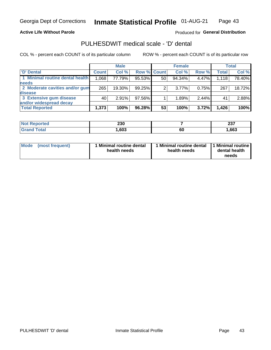### **Active Life Without Parole**

### Produced for General Distribution

## PULHESDWIT medical scale - 'D' dental

COL % - percent each COUNT is of its particular column

|                                 |              | <b>Male</b> |                    |    | <b>Female</b> |       |              | Total  |
|---------------------------------|--------------|-------------|--------------------|----|---------------|-------|--------------|--------|
| 'D' Dental                      | <b>Count</b> | Col %       | <b>Row % Count</b> |    | Col %         | Row % | <b>Total</b> | Col %  |
| 1 Minimal routine dental health | 1,068        | 77.79%      | 95.53%             | 50 | 94.34%        | 4.47% | 1,118        | 78.40% |
| <b>needs</b>                    |              |             |                    |    |               |       |              |        |
| 2 Moderate cavities and/or gum  | 265          | 19.30%      | 99.25%             | 2  | $3.77\%$      | 0.75% | 267          | 18.72% |
| <b>disease</b>                  |              |             |                    |    |               |       |              |        |
| 3 Extensive gum disease         | 40'          | 2.91%       | 97.56%             |    | 1.89%         | 2.44% | 41           | 2.88%  |
| and/or widespread decay         |              |             |                    |    |               |       |              |        |
| <b>Total Reported</b>           | 1,373        | 100%        | 96.28%             | 53 | 100%          | 3.72% | 1,426        | 100%   |

| prted | つつの<br>ZJU |    | ^^¬<br>20 I |
|-------|------------|----|-------------|
| ſotal | ,603       | 60 | ,663        |

| Mode<br>(most frequent) | Minimal routine dental<br>health needs | <b>Minimal routine dental</b><br>health needs | 1 Minimal routine<br>dental health<br>needs |
|-------------------------|----------------------------------------|-----------------------------------------------|---------------------------------------------|
|-------------------------|----------------------------------------|-----------------------------------------------|---------------------------------------------|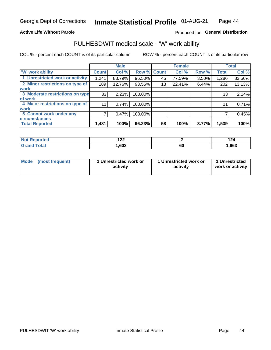### **Active Life Without Parole**

## Produced for General Distribution

## PULHESDWIT medical scale - 'W' work ability

COL % - percent each COUNT is of its particular column

|                                 |              | <b>Male</b> |         |             | <b>Female</b> |       |              | <b>Total</b> |
|---------------------------------|--------------|-------------|---------|-------------|---------------|-------|--------------|--------------|
| <b>W' work ability</b>          | <b>Count</b> | Col %       |         | Row % Count | Col %         | Row % | <b>Total</b> | Col %        |
| 1 Unrestricted work or activity | 1,241        | 83.79%      | 96.50%  | 45          | 77.59%        | 3.50% | 1,286        | 83.56%       |
| 2 Minor restrictions on type of | 189          | 12.76%      | 93.56%  | 13          | 22.41%        | 6.44% | 202          | 13.13%       |
| <b>work</b>                     |              |             |         |             |               |       |              |              |
| 3 Moderate restrictions on type | 33           | 2.23%       | 100.00% |             |               |       | 33           | 2.14%        |
| lof work                        |              |             |         |             |               |       |              |              |
| 4 Major restrictions on type of | 11           | 0.74%       | 100.00% |             |               |       | 11           | 0.71%        |
| <b>work</b>                     |              |             |         |             |               |       |              |              |
| 5 Cannot work under any         |              | 0.47%       | 100.00% |             |               |       |              | 0.45%        |
| <b>circumstances</b>            |              |             |         |             |               |       |              |              |
| <b>Total Reported</b>           | 1,481        | 100%        | 96.23%  | 58          | 100%          | 3.77% | 1,539        | 100%         |

| morted ∴     | ィっっ<br>17L |    | 144  |
|--------------|------------|----|------|
| <b>Total</b> | ,603       | 60 | ,663 |

| Mode            | 1 Unrestricted work or | 1 Unrestricted work or | 1 Unrestricted   |
|-----------------|------------------------|------------------------|------------------|
| (most frequent) | activity               | activity               | work or activity |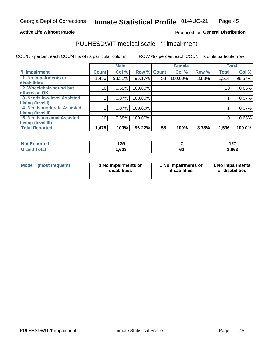### **Active Life Without Parole**

## Produced for General Distribution

## PULHESDWIT medical scale - 'I' impairment

COL % - percent each COUNT is of its particular column ROW % - percent each COUNT is of its particular row

|                                                    |                 | <b>Male</b> |                    |    | <b>Female</b> |       |              | <b>Total</b> |
|----------------------------------------------------|-----------------|-------------|--------------------|----|---------------|-------|--------------|--------------|
| <b>T' Impairment</b>                               | <b>Count</b>    | Col %       | <b>Row % Count</b> |    | Col %         | Row % | <b>Total</b> | Col %        |
| 1 No impairments or<br>disabilities                | 1,456           | 98.51%      | 96.17%             | 58 | 100.00%       | 3.83% | 1,514        | 98.57%       |
| 2 Wheelchair-bound but                             | 10 <sub>1</sub> | 0.68%       | 100.00%            |    |               |       | 10           | 0.65%        |
| otherwise OK<br><b>3 Needs low-level Assisted</b>  |                 | 0.07%       | 100.00%            |    |               |       |              | 0.07%        |
| Living (level I)                                   |                 |             |                    |    |               |       |              |              |
| 4 Needs moderate Assisted<br>Living (level II)     |                 | 0.07%       | 100.00%            |    |               |       |              | 0.07%        |
| <b>5 Needs maximal Assisted</b>                    | 10              | 0.68%       | 100.00%            |    |               |       | 10           | 0.65%        |
| <b>Living (level III)</b><br><b>Total Reported</b> | 1,478           | 100%        | 96.22%             | 58 | 100%          | 3.78% | 1,536        | 100.0%       |

| ported | 10E<br>14J |    | --<br>$\sim$ |
|--------|------------|----|--------------|
| `otal  | ,603       | ou | 1,663        |

| <b>Mode</b> | (most frequent) | <b>No impairments or</b><br>disabilities | 1 No impairments or<br>disabilities | 1 No impairments<br>or disabilities |
|-------------|-----------------|------------------------------------------|-------------------------------------|-------------------------------------|
|-------------|-----------------|------------------------------------------|-------------------------------------|-------------------------------------|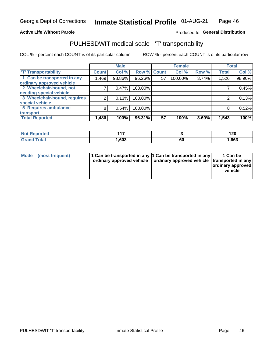### **Active Life Without Parole**

## Produced fo General Distribution

## PULHESDWIT medical scale - 'T' transportability

COL % - percent each COUNT is of its particular column

|                                                          |              | <b>Male</b> |             |    | <b>Female</b> |       |              | <b>Total</b> |
|----------------------------------------------------------|--------------|-------------|-------------|----|---------------|-------|--------------|--------------|
| <b>T' Transportability</b>                               | <b>Count</b> | Col %       | Row % Count |    | Col %         | Row % | <b>Total</b> | Col %        |
| 1 Can be transported in any<br>ordinary approved vehicle | .469         | 98.86%      | 96.26%      | 57 | 100.00%       | 3.74% | 1,526        | 98.90%       |
| 2 Wheelchair-bound, not                                  |              | 0.47%       | 100.00%     |    |               |       |              | 0.45%        |
| needing special vehicle                                  |              |             |             |    |               |       |              |              |
| 3 Wheelchair-bound, requires                             |              | 0.13%       | 100.00%     |    |               |       |              | 0.13%        |
| special vehicle                                          |              |             |             |    |               |       |              |              |
| 5 Requires ambulance                                     | 8            | 0.54%       | 100.00%     |    |               |       |              | 0.52%        |
| transport                                                |              |             |             |    |               |       |              |              |
| <b>Total Reported</b>                                    | 1,486        | 100%        | 96.31%      | 57 | 100%          | 3.69% | 1,543        | 100%         |

| orted | 44 Z |    | 120    |
|-------|------|----|--------|
| `otal | .603 | งบ | 663, ا |

| <b>Mode</b> | (most frequent) | 1 Can be transported in any 1 Can be transported in any | ordinary approved vehicle   ordinary approved vehicle   transported in any | 1 Can be<br>  ordinary approved  <br>vehicle |
|-------------|-----------------|---------------------------------------------------------|----------------------------------------------------------------------------|----------------------------------------------|
|-------------|-----------------|---------------------------------------------------------|----------------------------------------------------------------------------|----------------------------------------------|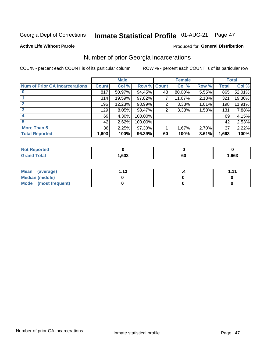## Inmate Statistical Profile 01-AUG-21 Page 47

### **Active Life Without Parole**

## **Produced for General Distribution**

## Number of prior Georgia incarcerations

COL % - percent each COUNT is of its particular column

|                                       |              | <b>Male</b> |           |              | <b>Female</b> |       |       | <b>Total</b> |
|---------------------------------------|--------------|-------------|-----------|--------------|---------------|-------|-------|--------------|
| <b>Num of Prior GA Incarcerations</b> | <b>Count</b> | Col %       | Row %     | <b>Count</b> | Col %         | Row % | Total | Col %        |
|                                       | 817          | 50.97%      | 94.45%    | 48           | 80.00%        | 5.55% | 865   | 52.01%       |
|                                       | 314          | 19.59%      | $97.82\%$ |              | 11.67%        | 2.18% | 321   | 19.30%       |
|                                       | 196          | 12.23%      | 98.99%    | 2            | 3.33%         | 1.01% | 198   | 11.91%       |
| 3                                     | 129          | 8.05%       | 98.47%    | 2            | 3.33%         | 1.53% | 131   | 7.88%        |
| 4                                     | 69           | 4.30%       | 100.00%   |              |               |       | 69    | 4.15%        |
| 5                                     | 42           | 2.62%       | 100.00%   |              |               |       | 42    | 2.53%        |
| <b>More Than 5</b>                    | 36           | 2.25%       | $97.30\%$ |              | 1.67%         | 2.70% | 37    | 2.22%        |
| <b>Total Reported</b>                 | 1,603        | 100%        | 96.39%    | 60           | 100%          | 3.61% | 1,663 | 100%         |

| orted                     |            |    |      |
|---------------------------|------------|----|------|
| `otal<br>$\mathbf{v}$ and | 603<br>uu. | 60 | ,663 |

| Mean (average)       | 1 1 2 | 4444 |
|----------------------|-------|------|
| Median (middle)      |       |      |
| Mode (most frequent) |       |      |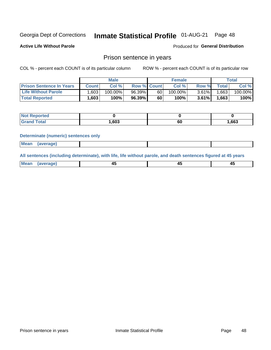#### **Inmate Statistical Profile 01-AUG-21** Page 48

**Active Life Without Parole** 

Produced for General Distribution

## Prison sentence in years

COL % - percent each COUNT is of its particular column

ROW % - percent each COUNT is of its particular row

|                                 |         | <b>Male</b> |                    |    | <b>Female</b> |          |             | Total   |
|---------------------------------|---------|-------------|--------------------|----|---------------|----------|-------------|---------|
| <b>Prison Sentence In Years</b> | Count l | Col %       | <b>Row % Count</b> |    | Col %         | Row %    | $\tau$ otal | Col %   |
| <b>Life Without Parole</b>      | .603    | $100.00\%$  | 96.39%             | 60 | $100.00\%$    | $3.61\%$ | 1,663       | 100.00% |
| <b>Total Reported</b>           | .603    | 100%        | 96.39%             | 60 | $100\%$       | $3.61\%$ | .663        | 100%    |

| Reported   |      |           |       |
|------------|------|-----------|-------|
| <b>ota</b> | ,603 | r r<br>υυ | 1,663 |

### **Determinate (numeric) sentences only**

| <b>Mean</b> | (average) |  |  |
|-------------|-----------|--|--|
|             |           |  |  |

All sentences (including determinate), with life, life without parole, and death sentences figured at 45 years

| Me<br>.<br> | -- | -- |  |
|-------------|----|----|--|
|             |    |    |  |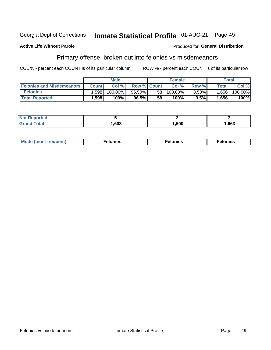#### Inmate Statistical Profile 01-AUG-21 Georgia Dept of Corrections Page 49

### **Active Life Without Parole**

### Produced for General Distribution

## Primary offense, broken out into felonies vs misdemeanors

COL % - percent each COUNT is of its particular column

|                                  |              | <b>Male</b> |                    |    | <b>Female</b> |          |              | Total   |
|----------------------------------|--------------|-------------|--------------------|----|---------------|----------|--------------|---------|
| <b>Felonies and Misdemeanors</b> | <b>Count</b> | Col%        | <b>Row % Count</b> |    | Col%          | Row %    | <b>Total</b> | Col %   |
| <b>Felonies</b>                  | .598         | 100.00%     | 96.50%             | 58 | $100.00\%$    | $3.50\%$ | 1.656        | 100.00% |
| <b>Total Reported</b>            | .598         | 100%        | 96.5%              | 58 | 100%          | 3.5%     | 1,656        | 100%    |

| <b>Not Reported</b>     |      |      |      |
|-------------------------|------|------|------|
| d Total<br><b>Grand</b> | ,603 | ,600 | ,663 |

| <b>Mode</b><br>frequent)<br>nies<br>≧ (most tr.<br>. | onies<br>. | lonies<br>енл<br>____ |
|------------------------------------------------------|------------|-----------------------|
|------------------------------------------------------|------------|-----------------------|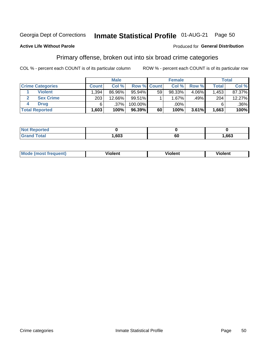#### Inmate Statistical Profile 01-AUG-21 Georgia Dept of Corrections

### **Active Life Without Parole**

### Produced for General Distribution

Page 50

## Primary offense, broken out into six broad crime categories

COL % - percent each COUNT is of its particular column

|                         |              | <b>Male</b> |             |    | <b>Female</b> |       |              | <b>Total</b> |
|-------------------------|--------------|-------------|-------------|----|---------------|-------|--------------|--------------|
| <b>Crime Categories</b> | <b>Count</b> | Col%        | Row % Count |    | Col%          | Row % | <b>Total</b> | Col %        |
| <b>Violent</b>          | 1.394        | 86.96%      | $95.94\%$   | 59 | 98.33%        | 4.06% | 1,453        | 87.37%       |
| <b>Sex Crime</b>        | 203          | 12.66%      | $99.51\%$   |    | $1.67\%$      | .49%  | 204          | 12.27%       |
| Drua                    | 6            | .37%        | 100.00%     |    | .00%          |       | 6            | $.36\%$      |
| <b>Total Reported</b>   | 1,603        | 100%        | 96.39%      | 60 | 100%          | 3.61% | 1,663        | 100%         |

| .           |      |            |      |
|-------------|------|------------|------|
| -<br>______ | .603 | c r<br>ึงเ | .663 |

| Mo<br>quenti | .<br>iolent<br>ΊΙ. | --<br>olent | .<br>'ent |
|--------------|--------------------|-------------|-----------|
|              |                    |             |           |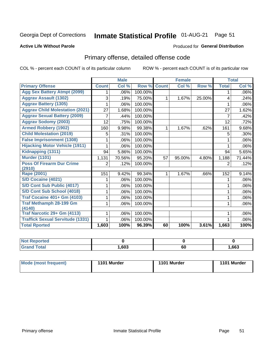## Inmate Statistical Profile 01-AUG-21 Page 51

### **Active Life Without Parole**

### **Produced for General Distribution**

## Primary offense, detailed offense code

COL % - percent each COUNT is of its particular column

|                                         |              | <b>Male</b>                |         |              | <b>Female</b> |        |              | <b>Total</b> |
|-----------------------------------------|--------------|----------------------------|---------|--------------|---------------|--------|--------------|--------------|
| <b>Primary Offense</b>                  | <b>Count</b> | $\overline{\text{Col }^9}$ | Row %   | <b>Count</b> | Col %         | Row %  | <b>Total</b> | Col %        |
| <b>Agg Sex Battery Atmpt (2099)</b>     |              | .06%                       | 100.00% |              |               |        | 1            | .06%         |
| <b>Aggrav Assault (1302)</b>            | 3            | .19%                       | 75.00%  | 1            | 1.67%         | 25.00% | 4            | .24%         |
| <b>Aggrav Battery (1305)</b>            |              | .06%                       | 100.00% |              |               |        |              | .06%         |
| <b>Aggrav Child Molestation (2021)</b>  | 27           | 1.68%                      | 100.00% |              |               |        | 27           | 1.62%        |
| <b>Aggrav Sexual Battery (2009)</b>     | 7            | .44%                       | 100.00% |              |               |        | 7            | .42%         |
| <b>Aggrav Sodomy (2003)</b>             | 12           | .75%                       | 100.00% |              |               |        | 12           | .72%         |
| <b>Armed Robbery (1902)</b>             | 160          | 9.98%                      | 99.38%  | 1            | 1.67%         | .62%   | 161          | 9.68%        |
| <b>Child Molestation (2019)</b>         | 5            | .31%                       | 100.00% |              |               |        | 5            | .30%         |
| <b>False Imprisonment (1308)</b>        |              | .06%                       | 100.00% |              |               |        |              | .06%         |
| <b>Hijacking Motor Vehicle (1911)</b>   |              | .06%                       | 100.00% |              |               |        |              | .06%         |
| Kidnapping (1311)                       | 94           | 5.86%                      | 100.00% |              |               |        | 94           | 5.65%        |
| <b>Murder (1101)</b>                    | 1,131        | 70.56%                     | 95.20%  | 57           | 95.00%        | 4.80%  | 1,188        | 71.44%       |
| <b>Poss Of Firearm Dur Crime</b>        | 2            | .12%                       | 100.00% |              |               |        | 2            | .12%         |
| (2910)                                  |              |                            |         |              |               |        |              |              |
| Rape (2001)                             | 151          | 9.42%                      | 99.34%  | 1            | 1.67%         | .66%   | 152          | 9.14%        |
| S/D Cocaine (4021)                      |              | .06%                       | 100.00% |              |               |        |              | .06%         |
| S/D Cont Sub Public (4017)              |              | .06%                       | 100.00% |              |               |        |              | .06%         |
| S/D Cont Sub School (4018)              |              | .06%                       | 100.00% |              |               |        | 1            | .06%         |
| <b>Traf Cocaine 401+ Gm (4103)</b>      |              | .06%                       | 100.00% |              |               |        | 1            | .06%         |
| <b>Traf Methamph 28-199 Gm</b>          |              | .06%                       | 100.00% |              |               |        | 1            | .06%         |
| (4140)                                  |              |                            |         |              |               |        |              |              |
| Traf Narcotic 29+ Gm (4113)             |              | .06%                       | 100.00% |              |               |        |              | .06%         |
| <b>Traffick Sexual Servitude (1331)</b> |              | .06%                       | 100.00% |              |               |        |              | .06%         |
| <b>Total Rported</b>                    | 1,603        | 100%                       | 96.39%  | 60           | 100%          | 3.61%  | 1,663        | 100%         |

| <b>Not</b><br><b>Enorted</b><br>- Redu. |      |    |      |
|-----------------------------------------|------|----|------|
| <b>Total</b><br>Croy                    | ,603 | 60 | ,663 |

| Mode (most frequent) | 1101 Murder | 1101 Murder | 1101 Murder |
|----------------------|-------------|-------------|-------------|
|----------------------|-------------|-------------|-------------|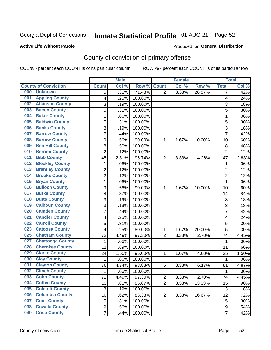## Inmate Statistical Profile 01-AUG-21 Page 52

### **Active Life Without Parole**

### Produced for General Distribution

## County of conviction of primary offense

COL % - percent each COUNT is of its particular column

|                             |                         |                | <b>Male</b> |         |                | <b>Female</b> |        |                | <b>Total</b> |
|-----------------------------|-------------------------|----------------|-------------|---------|----------------|---------------|--------|----------------|--------------|
| <b>County of Conviction</b> |                         | <b>Count</b>   | Col %       | Row %   | <b>Count</b>   | Col %         | Row %  | <b>Total</b>   | Col %        |
| 000<br><b>Unknown</b>       |                         | 5              | .31%        | 71.43%  | $\overline{2}$ | 3.33%         | 28.57% | 7              | .42%         |
| 001                         | <b>Appling County</b>   | 4              | .25%        | 100.00% |                |               |        | 4              | .24%         |
| 002                         | <b>Atkinson County</b>  | 3              | .19%        | 100.00% |                |               |        | 3              | .18%         |
| 003                         | <b>Bacon County</b>     | 5              | .31%        | 100.00% |                |               |        | 5              | .30%         |
| 004                         | <b>Baker County</b>     | $\mathbf{1}$   | .06%        | 100.00% |                |               |        | $\mathbf{1}$   | .06%         |
| 005                         | <b>Baldwin County</b>   | 5              | .31%        | 100.00% |                |               |        | 5              | .30%         |
| 006                         | <b>Banks County</b>     | 3              | .19%        | 100.00% |                |               |        | $\overline{3}$ | .18%         |
| 007                         | <b>Barrow County</b>    | $\overline{7}$ | .44%        | 100.00% |                |               |        | $\overline{7}$ | .42%         |
| 008                         | <b>Bartow County</b>    | 9              | .56%        | 90.00%  | 1              | 1.67%         | 10.00% | 10             | .60%         |
| 009                         | <b>Ben Hill County</b>  | 8              | .50%        | 100.00% |                |               |        | 8              | .48%         |
| 010                         | <b>Berrien County</b>   | $\overline{2}$ | .12%        | 100.00% |                |               |        | $\overline{2}$ | .12%         |
| <b>Bibb County</b><br>011   |                         | 45             | 2.81%       | 95.74%  | $\overline{2}$ | 3.33%         | 4.26%  | 47             | 2.83%        |
| 012                         | <b>Bleckley County</b>  | $\mathbf{1}$   | .06%        | 100.00% |                |               |        | $\mathbf{1}$   | .06%         |
| 013                         | <b>Brantley County</b>  | $\overline{2}$ | .12%        | 100.00% |                |               |        | $\overline{2}$ | .12%         |
| 014                         | <b>Brooks County</b>    | $\overline{2}$ | .12%        | 100.00% |                |               |        | $\overline{2}$ | .12%         |
| 015                         | <b>Bryan County</b>     | $\mathbf{1}$   | .06%        | 100.00% |                |               |        | $\mathbf{1}$   | .06%         |
| 016                         | <b>Bulloch County</b>   | 9              | .56%        | 90.00%  | 1              | 1.67%         | 10.00% | 10             | .60%         |
| 017                         | <b>Burke County</b>     | 14             | .87%        | 100.00% |                |               |        | 14             | .84%         |
| 018                         | <b>Butts County</b>     | 3              | .19%        | 100.00% |                |               |        | 3              | .18%         |
| 019                         | <b>Calhoun County</b>   | 3              | .19%        | 100.00% |                |               |        | $\overline{3}$ | .18%         |
| 020                         | <b>Camden County</b>    | $\overline{7}$ | .44%        | 100.00% |                |               |        | $\overline{7}$ | .42%         |
| 021                         | <b>Candler County</b>   | 4              | .25%        | 100.00% |                |               |        | 4              | .24%         |
| 022                         | <b>Carroll County</b>   | 5              | .31%        | 100.00% |                |               |        | 5              | .30%         |
| 023                         | <b>Catoosa County</b>   | 4              | .25%        | 80.00%  | 1              | 1.67%         | 20.00% | 5              | .30%         |
| 025                         | <b>Chatham County</b>   | 72             | 4.49%       | 97.30%  | $\overline{2}$ | 3.33%         | 2.70%  | 74             | 4.45%        |
| 027                         | <b>Chattooga County</b> | $\mathbf{1}$   | .06%        | 100.00% |                |               |        | $\mathbf{1}$   | .06%         |
| 028                         | <b>Cherokee County</b>  | 11             | .69%        | 100.00% |                |               |        | 11             | .66%         |
| 029                         | <b>Clarke County</b>    | 24             | 1.50%       | 96.00%  | 1              | 1.67%         | 4.00%  | 25             | 1.50%        |
| <b>Clay County</b><br>030   |                         | $\mathbf{1}$   | .06%        | 100.00% |                |               |        | $\mathbf{1}$   | .06%         |
| 031                         | <b>Clayton County</b>   | 76             | 4.74%       | 93.83%  | 5              | 8.33%         | 6.17%  | 81             | 4.87%        |
| 032                         | <b>Clinch County</b>    | $\mathbf{1}$   | .06%        | 100.00% |                |               |        | 1              | .06%         |
| 033<br><b>Cobb County</b>   |                         | 72             | 4.49%       | 97.30%  | 2              | 3.33%         | 2.70%  | 74             | 4.45%        |
| 034                         | <b>Coffee County</b>    | 13             | .81%        | 86.67%  | $\overline{2}$ | 3.33%         | 13.33% | 15             | $.90\%$      |
| 035                         | <b>Colquitt County</b>  | $\mathbf{3}$   | .19%        | 100.00% |                |               |        | 3              | .18%         |
| 036                         | <b>Columbia County</b>  | 10             | .62%        | 83.33%  | $\overline{2}$ | 3.33%         | 16.67% | 12             | .72%         |
| <b>Cook County</b><br>037   |                         | 5              | .31%        | 100.00% |                |               |        | 5              | .30%         |
| 038                         | <b>Coweta County</b>    | 9              | .56%        | 100.00% |                |               |        | 9              | .54%         |
| 040                         | <b>Crisp County</b>     | $\overline{7}$ | .44%        | 100.00% |                |               |        | $\overline{7}$ | .42%         |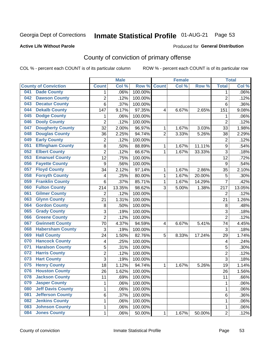## Inmate Statistical Profile 01-AUG-21 Page 53

### **Active Life Without Parole**

### Produced for General Distribution

## County of conviction of primary offense

COL % - percent each COUNT is of its particular column

|                                 |                  | <b>Male</b> |         |                | <b>Female</b> |        |                  | <b>Total</b> |
|---------------------------------|------------------|-------------|---------|----------------|---------------|--------|------------------|--------------|
| <b>County of Conviction</b>     | <b>Count</b>     | Col %       | Row %   | <b>Count</b>   | Col %         | Row %  | <b>Total</b>     | Col %        |
| <b>Dade County</b><br>041       | 1                | .06%        | 100.00% |                |               |        | 1                | .06%         |
| <b>Dawson County</b><br>042     | $\overline{c}$   | .12%        | 100.00% |                |               |        | $\overline{2}$   | .12%         |
| <b>Decatur County</b><br>043    | 6                | .37%        | 100.00% |                |               |        | 6                | .36%         |
| <b>Dekalb County</b><br>044     | 147              | 9.17%       | 97.35%  | 4              | 6.67%         | 2.65%  | 151              | 9.08%        |
| <b>Dodge County</b><br>045      | 1                | .06%        | 100.00% |                |               |        | 1                | .06%         |
| <b>Dooly County</b><br>046      | $\overline{2}$   | .12%        | 100.00% |                |               |        | $\overline{2}$   | .12%         |
| <b>Dougherty County</b><br>047  | 32               | 2.00%       | 96.97%  | 1              | 1.67%         | 3.03%  | 33               | 1.98%        |
| <b>Douglas County</b><br>048    | 36               | 2.25%       | 94.74%  | $\overline{2}$ | 3.33%         | 5.26%  | 38               | 2.29%        |
| <b>Early County</b><br>049      | $\overline{2}$   | .12%        | 100.00% |                |               |        | $\overline{2}$   | .12%         |
| <b>Effingham County</b><br>051  | 8                | .50%        | 88.89%  | 1              | 1.67%         | 11.11% | $\boldsymbol{9}$ | .54%         |
| <b>Elbert County</b><br>052     | $\overline{2}$   | .12%        | 66.67%  | 1              | 1.67%         | 33.33% | $\overline{3}$   | .18%         |
| <b>Emanuel County</b><br>053    | 12               | .75%        | 100.00% |                |               |        | 12               | .72%         |
| <b>Fayette County</b><br>056    | $\boldsymbol{9}$ | .56%        | 100.00% |                |               |        | 9                | .54%         |
| <b>Floyd County</b><br>057      | 34               | 2.12%       | 97.14%  | 1              | 1.67%         | 2.86%  | 35               | 2.10%        |
| <b>Forsyth County</b><br>058    | 4                | .25%        | 80.00%  | 1              | 1.67%         | 20.00% | 5                | .30%         |
| <b>Franklin County</b><br>059   | 6                | .37%        | 85.71%  | 1              | 1.67%         | 14.29% | 7                | .42%         |
| <b>Fulton County</b><br>060     | 214              | 13.35%      | 98.62%  | 3              | 5.00%         | 1.38%  | 217              | 13.05%       |
| <b>Gilmer County</b><br>061     | $\overline{2}$   | .12%        | 100.00% |                |               |        | 2                | .12%         |
| <b>Glynn County</b><br>063      | 21               | 1.31%       | 100.00% |                |               |        | 21               | 1.26%        |
| <b>Gordon County</b><br>064     | 8                | .50%        | 100.00% |                |               |        | 8                | .48%         |
| <b>Grady County</b><br>065      | 3                | .19%        | 100.00% |                |               |        | 3                | .18%         |
| <b>Greene County</b><br>066     | $\overline{2}$   | .12%        | 100.00% |                |               |        | $\overline{2}$   | .12%         |
| <b>Gwinnett County</b><br>067   | 70               | 4.37%       | 94.59%  | 4              | 6.67%         | 5.41%  | 74               | 4.45%        |
| <b>Habersham County</b><br>068  | 3                | .19%        | 100.00% |                |               |        | 3                | .18%         |
| <b>Hall County</b><br>069       | 24               | 1.50%       | 82.76%  | 5              | 8.33%         | 17.24% | 29               | 1.74%        |
| <b>Hancock County</b><br>070    | 4                | .25%        | 100.00% |                |               |        | 4                | .24%         |
| <b>Haralson County</b><br>071   | 5                | .31%        | 100.00% |                |               |        | 5                | .30%         |
| <b>Harris County</b><br>072     | $\overline{2}$   | .12%        | 100.00% |                |               |        | $\overline{c}$   | .12%         |
| <b>Hart County</b><br>073       | $\overline{3}$   | .19%        | 100.00% |                |               |        | 3                | .18%         |
| <b>Henry County</b><br>075      | 18               | 1.12%       | 94.74%  | 1              | 1.67%         | 5.26%  | 19               | 1.14%        |
| <b>Houston County</b><br>076    | 26               | 1.62%       | 100.00% |                |               |        | 26               | 1.56%        |
| 078<br><b>Jackson County</b>    | 11               | .69%        | 100.00% |                |               |        | 11               | .66%         |
| <b>Jasper County</b><br>079     | 1                | .06%        | 100.00% |                |               |        | 1                | .06%         |
| <b>Jeff Davis County</b><br>080 | 1                | .06%        | 100.00% |                |               |        | 1                | .06%         |
| <b>Jefferson County</b><br>081  | 6                | .37%        | 100.00% |                |               |        | 6                | .36%         |
| <b>Jenkins County</b><br>082    | 1                | .06%        | 100.00% |                |               |        | 1                | .06%         |
| <b>Johnson County</b><br>083    | 1                | .06%        | 100.00% |                |               |        | 1                | .06%         |
| <b>Jones County</b><br>084      | 1                | .06%        | 50.00%  | 1              | 1.67%         | 50.00% | $\overline{2}$   | .12%         |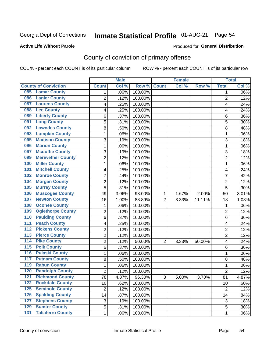## Inmate Statistical Profile 01-AUG-21 Page 54

### **Active Life Without Parole**

### Produced for General Distribution

## County of conviction of primary offense

COL % - percent each COUNT is of its particular column

|                                              |                | <b>Male</b> |         |                | <b>Female</b> |          |                | <b>Total</b> |
|----------------------------------------------|----------------|-------------|---------|----------------|---------------|----------|----------------|--------------|
| <b>County of Conviction</b>                  | <b>Count</b>   | Col %       | Row %   | <b>Count</b>   | Col %         | Row %    | <b>Total</b>   | Col %        |
| <b>Lamar County</b><br>085                   | 1              | .06%        | 100.00% |                |               |          | 1              | $.06\%$      |
| <b>Lanier County</b><br>086                  | $\overline{2}$ | .12%        | 100.00% |                |               |          | $\overline{2}$ | .12%         |
| <b>Laurens County</b><br>087                 | 4              | .25%        | 100.00% |                |               |          | 4              | .24%         |
| <b>Lee County</b><br>088                     | 4              | .25%        | 100.00% |                |               |          | 4              | .24%         |
| <b>Liberty County</b><br>089                 | 6              | .37%        | 100.00% |                |               |          | 6              | .36%         |
| <b>Long County</b><br>091                    | 5              | .31%        | 100.00% |                |               |          | 5              | .30%         |
| <b>Lowndes County</b><br>092                 | 8              | .50%        | 100.00% |                |               |          | 8              | .48%         |
| <b>Lumpkin County</b><br>093                 | 1              | .06%        | 100.00% |                |               |          | $\mathbf{1}$   | .06%         |
| <b>Madison County</b><br>095                 | 3              | .19%        | 100.00% |                |               |          | 3              | .18%         |
| <b>Marion County</b><br>096                  | 1              | .06%        | 100.00% |                |               |          | $\mathbf{1}$   | .06%         |
| <b>Mcduffie County</b><br>097                | 3              | .19%        | 100.00% |                |               |          | 3              | .18%         |
| <b>Meriwether County</b><br>099              | $\overline{2}$ | .12%        | 100.00% |                |               |          | $\overline{2}$ | .12%         |
| <b>Miller County</b><br>100                  | 1              | .06%        | 100.00% |                |               |          | $\mathbf{1}$   | .06%         |
| <b>Mitchell County</b><br>101                | 4              | .25%        | 100.00% |                |               |          | 4              | .24%         |
| <b>Monroe County</b><br>102                  | 7              | .44%        | 100.00% |                |               |          | $\overline{7}$ | .42%         |
| <b>Morgan County</b><br>104                  | $\overline{2}$ | .12%        | 100.00% |                |               |          | $\overline{2}$ | .12%         |
| <b>Murray County</b><br>105                  | 5              | .31%        | 100.00% |                |               |          | 5              | .30%         |
| <b>Muscogee County</b><br>106                | 49             | 3.06%       | 98.00%  | 1              | 1.67%         | 2.00%    | 50             | 3.01%        |
| <b>Newton County</b><br>107                  | 16             | 1.00%       | 88.89%  | $\overline{2}$ | 3.33%         | 11.11%   | 18             | 1.08%        |
| <b>Oconee County</b><br>108                  | 1              | .06%        | 100.00% |                |               |          | 1              | .06%         |
| <b>Oglethorpe County</b><br>109              | 2              | .12%        | 100.00% |                |               |          | $\overline{2}$ | .12%         |
| <b>Paulding County</b><br>110                | 6              | .37%        | 100.00% |                |               |          | 6              | .36%         |
| <b>Peach County</b><br>111                   | 4              | .25%        | 100.00% |                |               |          | 4              | .24%         |
| <b>Pickens County</b><br>112                 | $\overline{2}$ | .12%        | 100.00% |                |               |          | $\overline{2}$ | .12%         |
| <b>Pierce County</b><br>113                  | 2              | .12%        | 100.00% |                |               |          | $\overline{2}$ | .12%         |
| <b>Pike County</b><br>$\overline{114}$       | $\overline{2}$ | .12%        | 50.00%  | $\overline{2}$ | 3.33%         | 50.00%   | 4              | .24%         |
| <b>Polk County</b><br>$\overline{115}$       | 6              | .37%        | 100.00% |                |               |          | 6              | .36%         |
| <b>Pulaski County</b><br>116                 | 1              | .06%        | 100.00% |                |               |          | $\mathbf{1}$   | .06%         |
| <b>Putnam County</b><br>117                  | 8              | .50%        | 100.00% |                |               |          | 8              | .48%         |
| <b>Rabun County</b><br>119                   | 1              | .06%        | 100.00% |                |               |          | $\mathbf{1}$   | .06%         |
| <b>Randolph County</b><br>120                | $\overline{2}$ | .12%        | 100.00% |                |               |          | $\overline{2}$ | .12%         |
| <b>Richmond County</b><br>121                | 78             | 4.87%       | 96.30%  | 3              | 5.00%         | $3.70\%$ | 81             | 4.87%        |
| <b>Rockdale County</b><br>122                | 10             | .62%        | 100.00% |                |               |          | 10             | .60%         |
| <b>Seminole County</b><br>$125$              | $\overline{2}$ | .12%        | 100.00% |                |               |          | $\overline{2}$ | .12%         |
| <b>Spalding County</b><br>126                | 14             | .87%        | 100.00% |                |               |          | 14             | .84%         |
| <b>Stephens County</b><br>127                | 3              | .19%        | 100.00% |                |               |          | 3              | .18%         |
| <b>Sumter County</b><br>129                  | 5              | .31%        | 100.00% |                |               |          | 5              | .30%         |
| <b>Taliaferro County</b><br>$\overline{131}$ | $\mathbf{1}$   | .06%        | 100.00% |                |               |          | $\mathbf 1$    | .06%         |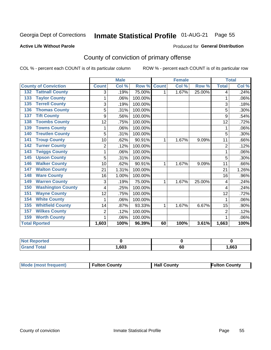## Inmate Statistical Profile 01-AUG-21 Page 55

### **Active Life Without Parole**

### **Produced for General Distribution**

## County of conviction of primary offense

COL % - percent each COUNT is of its particular column

|                                 |                | <b>Male</b> |         | <b>Female</b> |       |        | <b>Total</b>   |       |
|---------------------------------|----------------|-------------|---------|---------------|-------|--------|----------------|-------|
| <b>County of Conviction</b>     | <b>Count</b>   | Col %       | Row %   | <b>Count</b>  | Col % | Row %  | <b>Total</b>   | Col % |
| <b>Tattnall County</b><br>132   | 3              | .19%        | 75.00%  | 1             | 1.67% | 25.00% | 4              | .24%  |
| <b>Taylor County</b><br>133     | 1              | .06%        | 100.00% |               |       |        | 1              | .06%  |
| <b>Terrell County</b><br>135    | 3              | .19%        | 100.00% |               |       |        | 3              | .18%  |
| <b>Thomas County</b><br>136     | 5              | .31%        | 100.00% |               |       |        | 5              | .30%  |
| <b>Tift County</b><br>137       | 9              | .56%        | 100.00% |               |       |        | 9              | .54%  |
| <b>Toombs County</b><br>138     | 12             | .75%        | 100.00% |               |       |        | 12             | .72%  |
| <b>Towns County</b><br>139      | 1              | .06%        | 100.00% |               |       |        | 1              | .06%  |
| <b>Treutlen County</b><br>140   | 5              | .31%        | 100.00% |               |       |        | 5              | .30%  |
| <b>Troup County</b><br>141      | 10             | .62%        | 90.91%  | 1             | 1.67% | 9.09%  | 11             | .66%  |
| <b>Turner County</b><br>142     | 2              | .12%        | 100.00% |               |       |        | $\overline{2}$ | .12%  |
| <b>Twiggs County</b><br>143     |                | .06%        | 100.00% |               |       |        | 1              | .06%  |
| <b>Upson County</b><br>145      | 5              | .31%        | 100.00% |               |       |        | 5              | .30%  |
| <b>Walker County</b><br>146     | 10             | .62%        | 90.91%  | 1             | 1.67% | 9.09%  | 11             | .66%  |
| <b>Walton County</b><br>147     | 21             | 1.31%       | 100.00% |               |       |        | 21             | 1.26% |
| <b>Ware County</b><br>148       | 16             | 1.00%       | 100.00% |               |       |        | 16             | .96%  |
| <b>Warren County</b><br>149     | 3              | .19%        | 75.00%  | 1             | 1.67% | 25.00% | 4              | .24%  |
| <b>Washington County</b><br>150 | 4              | .25%        | 100.00% |               |       |        | 4              | .24%  |
| <b>Wayne County</b><br>151      | 12             | .75%        | 100.00% |               |       |        | 12             | .72%  |
| <b>White County</b><br>154      | 1              | .06%        | 100.00% |               |       |        | 1              | .06%  |
| <b>Whitfield County</b><br>155  | 14             | .87%        | 93.33%  | 1             | 1.67% | 6.67%  | 15             | .90%  |
| <b>Wilkes County</b><br>157     | $\overline{2}$ | .12%        | 100.00% |               |       |        | $\overline{2}$ | .12%  |
| <b>Worth County</b><br>159      | 1              | .06%        | 100.00% |               |       |        | 1              | .06%  |
| <b>Total Rported</b>            | 1,603          | 100%        | 96.39%  | 60            | 100%  | 3.61%  | 1,663          | 100%  |

| rted<br>seno |      |    |      |
|--------------|------|----|------|
|              | ,603 | 60 | ,663 |

| <b>Mode (most frequent)</b> | <b>Fulton County</b> | <b>Hall County</b> | <b>Fulton County</b> |
|-----------------------------|----------------------|--------------------|----------------------|
|-----------------------------|----------------------|--------------------|----------------------|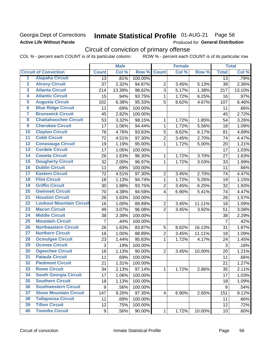## Georgia Dept of Corrections **Active Life Without Parole**

## Inmate Statistical Profile 01-AUG-21 Page 56

Produced for General Distribution

## Circuit of conviction of primary offense

COL % - percent each COUNT is of its particular column ROW % - percent each COUNT is of its particular row

|                         |                                 |                 | <b>Male</b> |         |                | <b>Female</b> |        |                 | <b>Total</b> |
|-------------------------|---------------------------------|-----------------|-------------|---------|----------------|---------------|--------|-----------------|--------------|
|                         | <b>Circuit of Conviction</b>    | <b>Count</b>    | Col %       | Row %   | <b>Count</b>   | Col %         | Row %  | <b>Total</b>    | Col %        |
| 1                       | <b>Alapaha Circuit</b>          | $\overline{13}$ | .81%        | 100.00% |                |               |        | 13              | .79%         |
| $\overline{2}$          | <b>Alcovy Circuit</b>           | 37              | 2.32%       | 94.87%  | $\overline{2}$ | 3.45%         | 5.13%  | 39              | 2.36%        |
| $\overline{\mathbf{3}}$ | <b>Atlanta Circuit</b>          | 214             | 13.39%      | 98.62%  | 3              | 5.17%         | 1.38%  | 217             | 13.10%       |
| 4                       | <b>Atlantic Circuit</b>         | 15              | .94%        | 93.75%  | $\mathbf 1$    | 1.72%         | 6.25%  | 16              | .97%         |
| 5                       | <b>Augusta Circuit</b>          | 102             | 6.38%       | 95.33%  | 5              | 8.62%         | 4.67%  | 107             | 6.46%        |
| $\overline{6}$          | <b>Blue Ridge Circuit</b>       | 11              | .69%        | 100.00% |                |               |        | 11              | .66%         |
| 7                       | <b>Brunswick Circuit</b>        | 45              | 2.82%       | 100.00% |                |               |        | 45              | 2.72%        |
| 8                       | <b>Chattahoochee Circuit</b>    | 53              | 3.32%       | 98.15%  | 1              | 1.72%         | 1.85%  | 54              | 3.26%        |
| $\overline{9}$          | <b>Cherokee Circuit</b>         | 17              | 1.06%       | 94.44%  | 1              | 1.72%         | 5.56%  | 18              | 1.09%        |
| 10                      | <b>Clayton Circuit</b>          | 76              | 4.76%       | 93.83%  | 5              | 8.62%         | 6.17%  | 81              | 4.89%        |
| $\overline{11}$         | <b>Cobb Circuit</b>             | 72              | 4.51%       | 97.30%  | $\overline{c}$ | 3.45%         | 2.70%  | 74              | 4.47%        |
| 12                      | <b>Conasauga Circuit</b>        | 19              | 1.19%       | 95.00%  | $\mathbf{1}$   | 1.72%         | 5.00%  | 20              | 1.21%        |
| 13                      | <b>Cordele Circuit</b>          | 17              | 1.06%       | 100.00% |                |               |        | 17              | 1.03%        |
| $\overline{14}$         | <b>Coweta Circuit</b>           | 26              | 1.63%       | 96.30%  | $\mathbf{1}$   | 1.72%         | 3.70%  | 27              | 1.63%        |
| $\overline{15}$         | <b>Dougherty Circuit</b>        | 32              | 2.00%       | 96.97%  | $\mathbf 1$    | 1.72%         | 3.03%  | 33              | 1.99%        |
| 16                      | <b>Dublin Circuit</b>           | 11              | .69%        | 100.00% |                |               |        | 11              | .66%         |
| 17                      | <b>Eastern Circuit</b>          | 72              | 4.51%       | 97.30%  | $\overline{2}$ | 3.45%         | 2.70%  | 74              | 4.47%        |
| 18                      | <b>Flint Circuit</b>            | 18              | 1.13%       | 94.74%  | $\mathbf{1}$   | 1.72%         | 5.26%  | 19              | 1.15%        |
| 19                      | <b>Griffin Circuit</b>          | 30              | 1.88%       | 93.75%  | $\overline{2}$ | 3.45%         | 6.25%  | 32              | 1.93%        |
| $\overline{20}$         | <b>Gwinnett Circuit</b>         | 70              | 4.38%       | 94.59%  | 4              | 6.90%         | 5.41%  | 74              | 4.47%        |
| $\overline{21}$         | <b>Houston Circuit</b>          | 26              | 1.63%       | 100.00% |                |               |        | 26              | 1.57%        |
| $\overline{22}$         | <b>Lookout Mountain Circuit</b> | 16              | 1.00%       | 88.89%  | $\overline{2}$ | 3.45%         | 11.11% | 18              | 1.09%        |
| 23                      | <b>Macon Circuit</b>            | 49              | 3.07%       | 96.08%  | $\overline{2}$ | 3.45%         | 3.92%  | 51              | 3.08%        |
| $\overline{24}$         | <b>Middle Circuit</b>           | 38              | 2.38%       | 100.00% |                |               |        | 38              | 2.29%        |
| $\overline{25}$         | <b>Mountain Circuit</b>         | 7               | .44%        | 100.00% |                |               |        | $\overline{7}$  | .42%         |
| 26                      | <b>Northeastern Circuit</b>     | 26              | 1.63%       | 83.87%  | $\mathbf 5$    | 8.62%         | 16.13% | 31              | 1.87%        |
| $\overline{27}$         | <b>Northern Circuit</b>         | 16              | 1.00%       | 88.89%  | $\overline{c}$ | 3.45%         | 11.11% | 18              | 1.09%        |
| 28                      | <b>Ocmulgee Circuit</b>         | 23              | 1.44%       | 95.83%  | $\mathbf{1}$   | 1.72%         | 4.17%  | 24              | 1.45%        |
| 29                      | <b>Oconee Circuit</b>           | 3               | .19%        | 100.00% |                |               |        | $\mathfrak{S}$  | .18%         |
| 30                      | <b>Ogeechee Circuit</b>         | 18              | 1.13%       | 90.00%  | $\overline{2}$ | 3.45%         | 10.00% | 20              | 1.21%        |
| $\overline{31}$         | <b>Pataula Circuit</b>          | 11              | .69%        | 100.00% |                |               |        | 11              | .66%         |
| 32                      | <b>Piedmont Circuit</b>         | 21              | 1.31%       | 100.00% |                |               |        | 21              | 1.27%        |
| 33                      | <b>Rome Circuit</b>             | 34              | 2.13%       | 97.14%  | $\mathbf{1}$   | 1.72%         | 2.86%  | 35              | 2.11%        |
| 34                      | <b>South Georgia Circuit</b>    | 17              | 1.06%       | 100.00% |                |               |        | 17              | 1.03%        |
| 35                      | <b>Southern Circuit</b>         | 18              | 1.13%       | 100.00% |                |               |        | 18              | 1.09%        |
| 36                      | <b>Southwestern Circuit</b>     | 9               | .56%        | 100.00% |                |               |        | 9               | .54%         |
| 37                      | <b>Stone Mountain Circuit</b>   | 147             | 9.20%       | 97.35%  | 4              | 6.90%         | 2.65%  | 151             | 9.12%        |
| 38                      | <b>Tallapoosa Circuit</b>       | 11              | .69%        | 100.00% |                |               |        | 11              | .66%         |
| 39                      | <b>Tifton Circuit</b>           | 12              | .75%        | 100.00% |                |               |        | 12              | .72%         |
| 40                      | <b>Toombs Circuit</b>           | 9               | .56%        | 90.00%  | $\mathbf{1}$   | 1.72%         | 10.00% | 10 <sub>1</sub> | .60%         |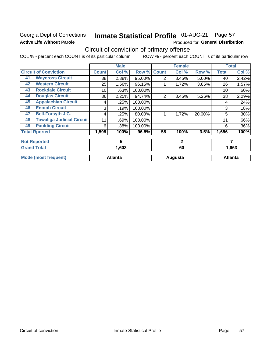## Georgia Dept of Corrections **Active Life Without Parole**

### Inmate Statistical Profile 01-AUG-21 Page 57

Produced for General Distribution

## Circuit of conviction of primary offense

COL % - percent each COUNT is of its particular column ROW % - percent each COUNT is of its particular row

|    |                                  |              | <b>Male</b>    |         |                | <b>Female</b> |        |              | <b>Total</b>   |
|----|----------------------------------|--------------|----------------|---------|----------------|---------------|--------|--------------|----------------|
|    | <b>Circuit of Conviction</b>     | <b>Count</b> | Col %          | Row %   | <b>Count</b>   | Col %         | Row %  | <b>Total</b> | Col %          |
| 41 | <b>Waycross Circuit</b>          | 38           | 2.38%          | 95.00%  | $\overline{2}$ | 3.45%         | 5.00%  | 40           | 2.42%          |
| 42 | <b>Western Circuit</b>           | 25           | 1.56%          | 96.15%  |                | 1.72%         | 3.85%  | 26           | 1.57%          |
| 43 | <b>Rockdale Circuit</b>          | 10           | .63%           | 100.00% |                |               |        | 10           | .60%           |
| 44 | <b>Douglas Circuit</b>           | 36           | 2.25%          | 94.74%  | $\overline{2}$ | 3.45%         | 5.26%  | 38           | 2.29%          |
| 45 | <b>Appalachian Circuit</b>       | 4            | .25%           | 100.00% |                |               |        | 4            | .24%           |
| 46 | <b>Enotah Circuit</b>            | 3            | .19%           | 100.00% |                |               |        | 3            | .18%           |
| 47 | <b>Bell-Forsyth J.C.</b>         | 4            | .25%           | 80.00%  |                | 1.72%         | 20.00% | 5            | .30%           |
| 48 | <b>Towaliga Judicial Circuit</b> | 11           | .69%           | 100.00% |                |               |        | 11           | .66%           |
| 49 | <b>Paulding Circuit</b>          | 6            | .38%           | 100.00% |                |               |        | 6            | .36%           |
|    | <b>Total Rported</b>             | 1,598        | 100%           | 96.5%   | 58             | 100%          | 3.5%   | 1,656        | 100%           |
|    | <b>Not Reported</b>              |              | 5              |         | $\mathbf{2}$   |               |        | 7            |                |
|    | <b>Grand Total</b>               |              | 1,603          |         |                | 60            |        |              | 1,663          |
|    | <b>Mode (most frequent)</b>      |              | <b>Atlanta</b> |         |                | Augusta       |        |              | <b>Atlanta</b> |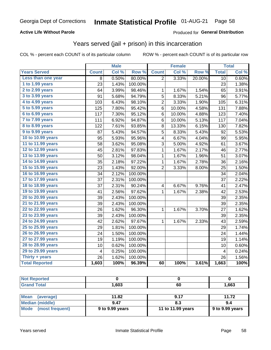## **Active Life Without Parole**

### Produced for General Distribution

## Years served (jail + prison) in this incarceration

COL % - percent each COUNT is of its particular column

|                       |              | <b>Male</b> |                  |                         | <b>Female</b> |        |              | <b>Total</b> |
|-----------------------|--------------|-------------|------------------|-------------------------|---------------|--------|--------------|--------------|
| <b>Years Served</b>   | <b>Count</b> | Col %       | Row <sup>%</sup> | <b>Count</b>            | Col %         | Row %  | <b>Total</b> | Col %        |
| Less than one year    | 8            | 0.50%       | 80.00%           | $\overline{2}$          | 3.33%         | 20.00% | 10           | 0.60%        |
| 1 to 1.99 years       | 23           | 1.43%       | 100.00%          |                         |               |        | 23           | 1.38%        |
| 2 to 2.99 years       | 64           | 3.99%       | 98.46%           | 1                       | 1.67%         | 1.54%  | 65           | 3.91%        |
| 3 to 3.99 years       | 91           | 5.68%       | 94.79%           | 5                       | 8.33%         | 5.21%  | 96           | 5.77%        |
| 4 to 4.99 years       | 103          | 6.43%       | 98.10%           | $\overline{\mathbf{c}}$ | 3.33%         | 1.90%  | 105          | 6.31%        |
| 5 to 5.99 years       | 125          | 7.80%       | 95.42%           | 6                       | 10.00%        | 4.58%  | 131          | 7.88%        |
| 6 to 6.99 years       | 117          | 7.30%       | 95.12%           | 6                       | 10.00%        | 4.88%  | 123          | 7.40%        |
| 7 to 7.99 years       | 111          | 6.92%       | 94.87%           | 6                       | 10.00%        | 5.13%  | 117          | 7.04%        |
| 8 to 8.99 years       | 122          | 7.61%       | 93.85%           | 8                       | 13.33%        | 6.15%  | 130          | 7.82%        |
| 9 to 9.99 years       | 87           | 5.43%       | 94.57%           | 5                       | 8.33%         | 5.43%  | 92           | 5.53%        |
| 10 to 10.99 years     | 95           | 5.93%       | 95.96%           | 4                       | 6.67%         | 4.04%  | 99           | 5.95%        |
| 11 to 11.99 years     | 58           | 3.62%       | 95.08%           | 3                       | 5.00%         | 4.92%  | 61           | 3.67%        |
| 12 to 12.99 years     | 45           | 2.81%       | 97.83%           | $\mathbf 1$             | 1.67%         | 2.17%  | 46           | 2.77%        |
| 13 to 13.99 years     | 50           | 3.12%       | 98.04%           | 1                       | 1.67%         | 1.96%  | 51           | 3.07%        |
| 14 to 14.99 years     | 35           | 2.18%       | 97.22%           | $\mathbf 1$             | 1.67%         | 2.78%  | 36           | 2.16%        |
| 15 to 15.99 years     | 23           | 1.43%       | 92.00%           | 2                       | 3.33%         | 8.00%  | 25           | 1.50%        |
| 16 to 16.99 years     | 34           | 2.12%       | 100.00%          |                         |               |        | 34           | 2.04%        |
| 17 to 17.99 years     | 37           | 2.31%       | 100.00%          |                         |               |        | 37           | 2.22%        |
| 18 to 18.99 years     | 37           | 2.31%       | 90.24%           | $\overline{\mathbf{4}}$ | 6.67%         | 9.76%  | 41           | 2.47%        |
| 19 to 19.99 years     | 41           | 2.56%       | 97.62%           | $\mathbf{1}$            | 1.67%         | 2.38%  | 42           | 2.53%        |
| 20 to 20.99 years     | 39           | 2.43%       | 100.00%          |                         |               |        | 39           | 2.35%        |
| 21 to 21.99 years     | 39           | 2.43%       | 100.00%          |                         |               |        | 39           | 2.35%        |
| 22 to 22.99 years     | 26           | 1.62%       | 96.30%           | 1                       | 1.67%         | 3.70%  | 27           | 1.62%        |
| 23 to 23.99 years     | 39           | 2.43%       | 100.00%          |                         |               |        | 39           | 2.35%        |
| 24 to 24.99 years     | 42           | 2.62%       | 97.67%           | 1                       | 1.67%         | 2.33%  | 43           | 2.59%        |
| 25 to 25.99 years     | 29           | 1.81%       | 100.00%          |                         |               |        | 29           | 1.74%        |
| 26 to 26.99 years     | 24           | 1.50%       | 100.00%          |                         |               |        | 24           | 1.44%        |
| 27 to 27.99 years     | 19           | 1.19%       | 100.00%          |                         |               |        | 19           | 1.14%        |
| 28 to 28.99 years     | 10           | 0.62%       | 100.00%          |                         |               |        | 10           | 0.60%        |
| 29 to 29.99 years     | 4            | 0.25%       | 100.00%          |                         |               |        | 4            | 0.24%        |
| Thirty + years        | 26           | 1.62%       | 100.00%          |                         |               |        | 26           | 1.56%        |
| <b>Total Reported</b> | 1,603        | 100%        | 96.39%           | 60                      | 100%          | 3.61%  | 1,663        | 100%         |

| <b>Not Reported</b>     |                 |                   |                 |
|-------------------------|-----------------|-------------------|-----------------|
| <b>Grand Total</b>      | 1.603           | 60                | 1,663           |
|                         |                 |                   |                 |
| Mean<br>(average)       | 11.82           | 9.17              | 11.72           |
| <b>Median (middle)</b>  | 9.47            | 8.3               | 9.4             |
| Mode<br>(most frequent) | 9 to 9.99 years | 11 to 11.99 years | 9 to 9.99 years |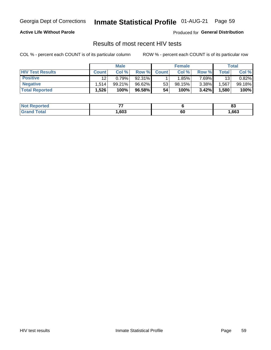## Inmate Statistical Profile 01-AUG-21 Page 59

### **Active Life Without Parole**

Produced for General Distribution

## Results of most recent HIV tests

COL % - percent each COUNT is of its particular column

|                         | <b>Male</b>  |        |        | <b>Female</b> |        |          | Total |        |
|-------------------------|--------------|--------|--------|---------------|--------|----------|-------|--------|
| <b>HIV Test Results</b> | <b>Count</b> | Col %  | Row %I | <b>Count</b>  | Col %  | Row %    | Total | Col %  |
| <b>Positive</b>         | 12           | 0.79%  | 92.31% |               | 1.85%  | 7 69%∎   | 13    | 0.82%  |
| <b>Negative</b>         | .514         | 99.21% | 96.62% | 53            | 98.15% | $3.38\%$ | .567  | 99.18% |
| <b>Total Reported</b>   | .526         | 100%   | 96.58% | 54            | 100%   | 3.42%    | 1,580 | 100%   |

| <b>Not Reported</b> | --<br>$ -$ |    | n.<br>ບູ |
|---------------------|------------|----|----------|
| Total<br>Grand      | ,603       | 60 | ,663     |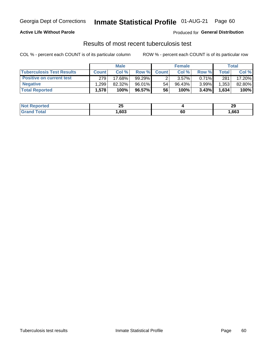## Georgia Dept of Corrections **Inmate Statistical Profile** 01-AUG-21 Page 60

## **Active Life Without Parole**

Produced for **General Distribution**

## Results of most recent tuberculosis test

COL % - percent each COUNT is of its particular column ROW % - percent each COUNT is of its particular row

|                                  | <b>Male</b>  |        |           | <b>Female</b> |        |          | Total |        |
|----------------------------------|--------------|--------|-----------|---------------|--------|----------|-------|--------|
| <b>Tuberculosis Test Results</b> | <b>Count</b> | Col%   | Row %I    | <b>Count</b>  | Col %  | Row %    | Total | Col %  |
| <b>Positive on current test</b>  | 279          | 17.68% | 99.29%    |               | 3.57%  | $0.71\%$ | 281   | 17.20% |
| <b>Negative</b>                  | .299         | 82.32% | 96.01%    | 54            | 96.43% | 3.99%    | 1,353 | 82.80% |
| <b>Total Reported</b>            | 1,578        | 100%   | $96.57\%$ | 56            | 100%   | 3.43%    | 1,634 | 100%   |

| <b>Not Reported</b> | ሳር<br>∼ |        | oc<br>-3 |
|---------------------|---------|--------|----------|
| <b>Grand Total</b>  | ,603    | <br>юu | .663     |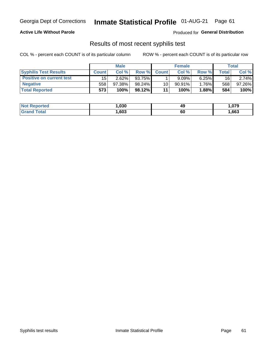## Georgia Dept of Corrections **Inmate Statistical Profile** 01-AUG-21 Page 61

## **Active Life Without Parole**

Produced for **General Distribution**

## Results of most recent syphilis test

COL % - percent each COUNT is of its particular column ROW % - percent each COUNT is of its particular row

|                                 | <b>Male</b>  |        |           | <b>Female</b> |           |          | Total |        |
|---------------------------------|--------------|--------|-----------|---------------|-----------|----------|-------|--------|
| <b>Syphilis Test Results</b>    | <b>Count</b> | Col %  | Row %     | <b>Count</b>  | Col %     | Row %I   | Total | Col %  |
| <b>Positive on current test</b> | 15           | 2.62%  | 93.75%    |               | 9.09%     | 6.25%    | 16    | 2.74%  |
| <b>Negative</b>                 | 558          | 97.38% | $98.24\%$ | 10            | $90.91\%$ | $1.76\%$ | 568   | 97.26% |
| <b>Total Reported</b>           | 573          | 100%   | 98.12%    | 11            | 100%      | $1.88\%$ | 584   | 100%   |

| <b>Not Reported</b> | 1,030 | 49 | .079 |
|---------------------|-------|----|------|
| <b>Grand Total</b>  | ,603  | 60 | ,663 |